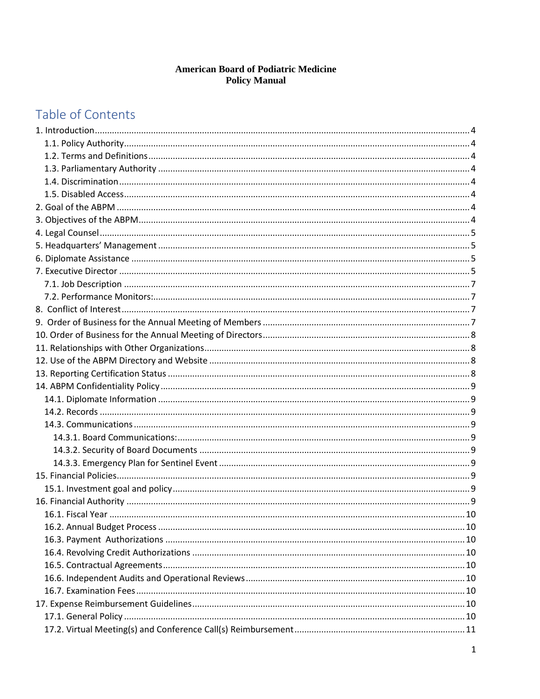# **American Board of Podiatric Medicine<br>Policy Manual**

# Table of Contents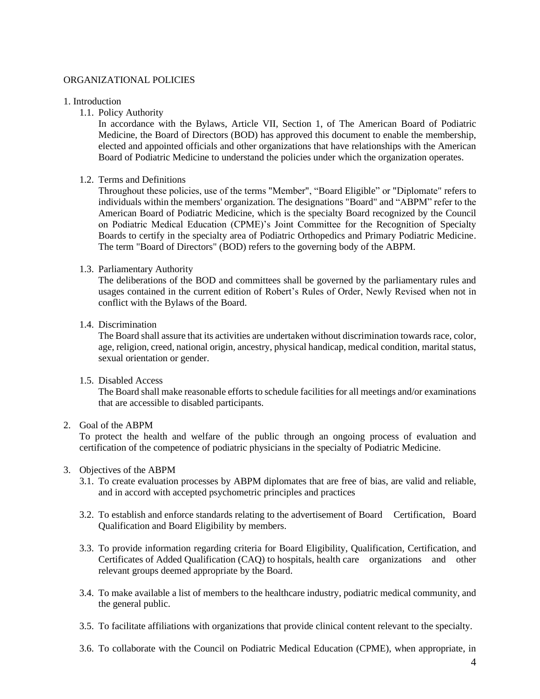#### ORGANIZATIONAL POLICIES

#### 1. Introduction

1.1. Policy Authority

In accordance with the Bylaws, Article VII, Section 1, of The American Board of Podiatric Medicine, the Board of Directors (BOD) has approved this document to enable the membership, elected and appointed officials and other organizations that have relationships with the American Board of Podiatric Medicine to understand the policies under which the organization operates.

#### 1.2. Terms and Definitions

Throughout these policies, use of the terms "Member", "Board Eligible" or "Diplomate" refers to individuals within the members' organization. The designations "Board" and "ABPM" refer to the American Board of Podiatric Medicine, which is the specialty Board recognized by the Council on Podiatric Medical Education (CPME)'s Joint Committee for the Recognition of Specialty Boards to certify in the specialty area of Podiatric Orthopedics and Primary Podiatric Medicine. The term "Board of Directors" (BOD) refers to the governing body of the ABPM.

#### 1.3. Parliamentary Authority

The deliberations of the BOD and committees shall be governed by the parliamentary rules and usages contained in the current edition of Robert's Rules of Order, Newly Revised when not in conflict with the Bylaws of the Board.

#### 1.4. Discrimination

The Board shall assure that its activities are undertaken without discrimination towards race, color, age, religion, creed, national origin, ancestry, physical handicap, medical condition, marital status, sexual orientation or gender.

#### 1.5. Disabled Access

The Board shall make reasonable efforts to schedule facilities for all meetings and/or examinations that are accessible to disabled participants.

# 2. Goal of the ABPM

To protect the health and welfare of the public through an ongoing process of evaluation and certification of the competence of podiatric physicians in the specialty of Podiatric Medicine.

#### 3. Objectives of the ABPM

- 3.1. To create evaluation processes by ABPM diplomates that are free of bias, are valid and reliable, and in accord with accepted psychometric principles and practices
- 3.2. To establish and enforce standards relating to the advertisement of Board Certification, Board Qualification and Board Eligibility by members.
- 3.3. To provide information regarding criteria for Board Eligibility, Qualification, Certification, and Certificates of Added Qualification (CAQ) to hospitals, health care organizations and other relevant groups deemed appropriate by the Board.
- 3.4. To make available a list of members to the healthcare industry, podiatric medical community, and the general public.
- 3.5. To facilitate affiliations with organizations that provide clinical content relevant to the specialty.
- 3.6. To collaborate with the Council on Podiatric Medical Education (CPME), when appropriate, in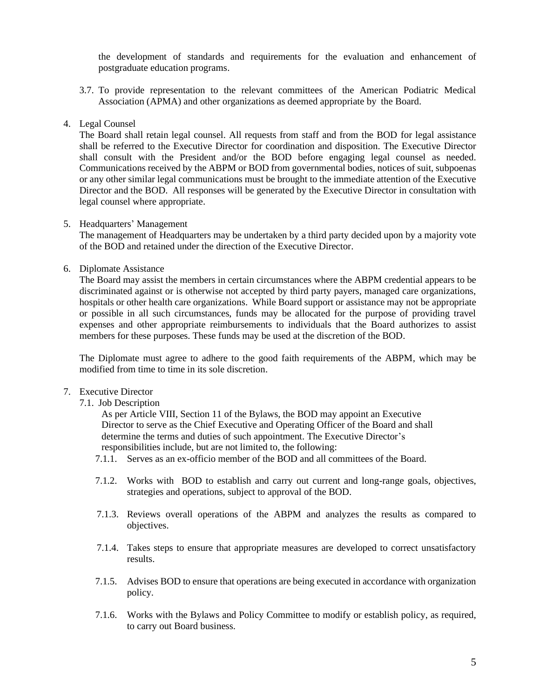the development of standards and requirements for the evaluation and enhancement of postgraduate education programs.

- 3.7. To provide representation to the relevant committees of the American Podiatric Medical Association (APMA) and other organizations as deemed appropriate by the Board.
- 4. Legal Counsel

The Board shall retain legal counsel. All requests from staff and from the BOD for legal assistance shall be referred to the Executive Director for coordination and disposition. The Executive Director shall consult with the President and/or the BOD before engaging legal counsel as needed. Communications received by the ABPM or BOD from governmental bodies, notices of suit, subpoenas or any other similar legal communications must be brought to the immediate attention of the Executive Director and the BOD. All responses will be generated by the Executive Director in consultation with legal counsel where appropriate.

5. Headquarters' Management

The management of Headquarters may be undertaken by a third party decided upon by a majority vote of the BOD and retained under the direction of the Executive Director.

6. Diplomate Assistance

The Board may assist the members in certain circumstances where the ABPM credential appears to be discriminated against or is otherwise not accepted by third party payers, managed care organizations, hospitals or other health care organizations. While Board support or assistance may not be appropriate or possible in all such circumstances, funds may be allocated for the purpose of providing travel expenses and other appropriate reimbursements to individuals that the Board authorizes to assist members for these purposes. These funds may be used at the discretion of the BOD.

The Diplomate must agree to adhere to the good faith requirements of the ABPM, which may be modified from time to time in its sole discretion.

- 7. Executive Director
	- 7.1. Job Description

As per Article VIII, Section 11 of the Bylaws, the BOD may appoint an Executive Director to serve as the Chief Executive and Operating Officer of the Board and shall determine the terms and duties of such appointment. The Executive Director's responsibilities include, but are not limited to, the following:

- 7.1.1. Serves as an ex-officio member of the BOD and all committees of the Board.
- 7.1.2. Works with BOD to establish and carry out current and long-range goals, objectives, strategies and operations, subject to approval of the BOD.
- 7.1.3. Reviews overall operations of the ABPM and analyzes the results as compared to objectives.
- 7.1.4. Takes steps to ensure that appropriate measures are developed to correct unsatisfactory results.
- 7.1.5. Advises BOD to ensure that operations are being executed in accordance with organization policy.
- 7.1.6. Works with the Bylaws and Policy Committee to modify or establish policy, as required, to carry out Board business.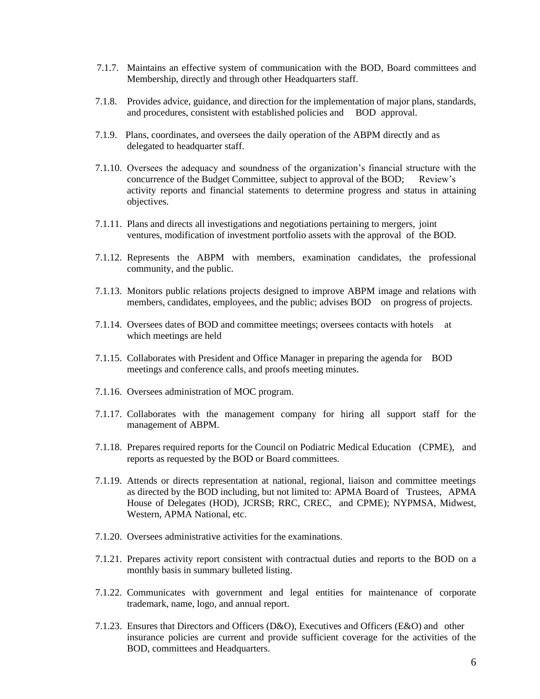- 7.1.7. Maintains an effective system of communication with the BOD, Board committees and Membership, directly and through other Headquarters staff.
- 7.1.8. Provides advice, guidance, and direction for the implementation of major plans, standards, and procedures, consistent with established policies and BOD approval.
- 7.1.9. Plans, coordinates, and oversees the daily operation of the ABPM directly and as delegated to headquarter staff.
- 7.1.10. Oversees the adequacy and soundness of the organization's financial structure with the concurrence of the Budget Committee, subject to approval of the BOD; Review's activity reports and financial statements to determine progress and status in attaining objectives.
- 7.1.11. Plans and directs all investigations and negotiations pertaining to mergers, joint ventures, modification of investment portfolio assets with the approval of the BOD.
- 7.1.12. Represents the ABPM with members, examination candidates, the professional community, and the public.
- 7.1.13. Monitors public relations projects designed to improve ABPM image and relations with members, candidates, employees, and the public; advises BOD on progress of projects.
- 7.1.14. Oversees dates of BOD and committee meetings; oversees contacts with hotels at which meetings are held
- 7.1.15. Collaborates with President and Office Manager in preparing the agenda for BOD meetings and conference calls, and proofs meeting minutes.
- 7.1.16. Oversees administration of MOC program.
- 7.1.17. Collaborates with the management company for hiring all support staff for the management of ABPM.
- 7.1.18. Prepares required reports for the Council on Podiatric Medical Education (CPME), and reports as requested by the BOD or Board committees.
- 7.1.19. Attends or directs representation at national, regional, liaison and committee meetings as directed by the BOD including, but not limited to: APMA Board of Trustees, APMA House of Delegates (HOD), JCRSB; RRC, CREC, and CPME); NYPMSA, Midwest, Western, APMA National, etc.
- 7.1.20. Oversees administrative activities for the examinations.
- 7.1.21. Prepares activity report consistent with contractual duties and reports to the BOD on a monthly basis in summary bulleted listing.
- 7.1.22. Communicates with government and legal entities for maintenance of corporate trademark, name, logo, and annual report.
- 7.1.23. Ensures that Directors and Officers (D&O), Executives and Officers (E&O) and other insurance policies are current and provide sufficient coverage for the activities of the BOD, committees and Headquarters.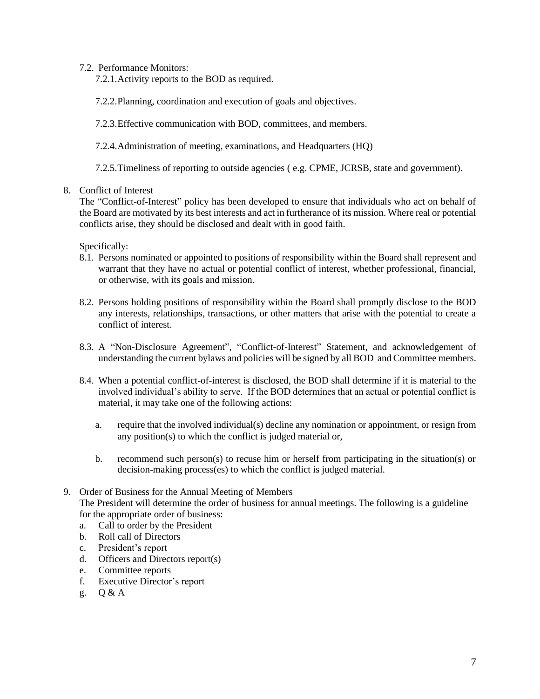7.2. Performance Monitors:

7.2.1.Activity reports to the BOD as required.

7.2.2.Planning, coordination and execution of goals and objectives.

7.2.3.Effective communication with BOD, committees, and members.

7.2.4.Administration of meeting, examinations, and Headquarters (HQ)

7.2.5.Timeliness of reporting to outside agencies ( e.g. CPME, JCRSB, state and government).

#### 8. Conflict of Interest

The "Conflict-of-Interest" policy has been developed to ensure that individuals who act on behalf of the Board are motivated by its best interests and act in furtherance of its mission. Where real or potential conflicts arise, they should be disclosed and dealt with in good faith.

Specifically:

- 8.1. Persons nominated or appointed to positions of responsibility within the Board shall represent and warrant that they have no actual or potential conflict of interest, whether professional, financial, or otherwise, with its goals and mission.
- 8.2. Persons holding positions of responsibility within the Board shall promptly disclose to the BOD any interests, relationships, transactions, or other matters that arise with the potential to create a conflict of interest.
- 8.3. A "Non-Disclosure Agreement", "Conflict-of-Interest" Statement, and acknowledgement of understanding the current bylaws and policies will be signed by all BOD and Committee members.
- 8.4. When a potential conflict-of-interest is disclosed, the BOD shall determine if it is material to the involved individual's ability to serve. If the BOD determines that an actual or potential conflict is material, it may take one of the following actions:
	- a. require that the involved individual(s) decline any nomination or appointment, or resign from any position(s) to which the conflict is judged material or,
	- b. recommend such person(s) to recuse him or herself from participating in the situation(s) or decision-making process(es) to which the conflict is judged material.
- 9. Order of Business for the Annual Meeting of Members The President will determine the order of business for annual meetings. The following is a guideline for the appropriate order of business:
	- a. Call to order by the President
	- b. Roll call of Directors
	- c. President's report
	- d. Officers and Directors report(s)
	- e. Committee reports
	- f. Executive Director's report
	- g. Q & A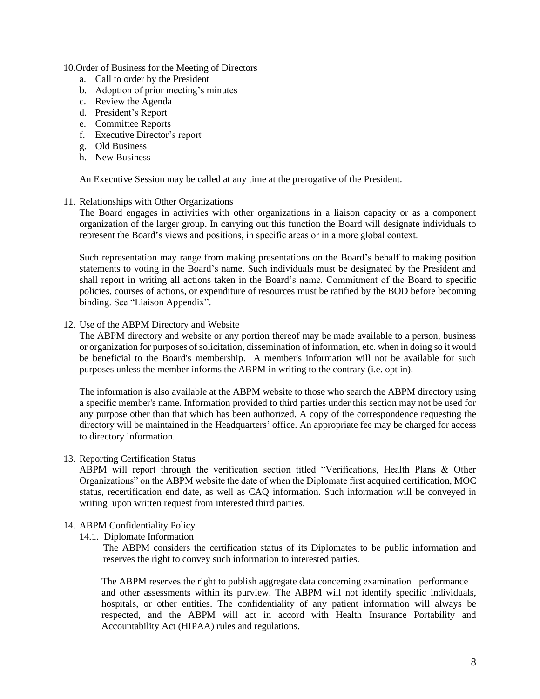10.Order of Business for the Meeting of Directors

- a. Call to order by the President
- b. Adoption of prior meeting's minutes
- c. Review the Agenda
- d. President's Report
- e. Committee Reports
- f. Executive Director's report
- g. Old Business
- h. New Business

An Executive Session may be called at any time at the prerogative of the President.

#### 11. Relationships with Other Organizations

The Board engages in activities with other organizations in a liaison capacity or as a component organization of the larger group. In carrying out this function the Board will designate individuals to represent the Board's views and positions, in specific areas or in a more global context.

Such representation may range from making presentations on the Board's behalf to making position statements to voting in the Board's name. Such individuals must be designated by the President and shall report in writing all actions taken in the Board's name. Commitment of the Board to specific policies, courses of actions, or expenditure of resources must be ratified by the BOD before becoming bindin[g. See "Liaison Appendix".](file:///C:/Users/amanda/AppData/Local/Microsoft/Windows/INetCache/Content.Outlook/C2ETM3PM/Policy%20Manual%20Appendix/9.%20Liaison%20Appendix.docx)

#### 12. Use of the ABPM Directory and Website

The ABPM directory and website or any portion thereof may be made available to a person, business or organization for purposes of solicitation, dissemination of information, etc. when in doing so it would be beneficial to the Board's membership. A member's information will not be available for such purposes unless the member informs the ABPM in writing to the contrary (i.e. opt in).

The information is also available at the ABPM website to those who search the ABPM directory using a specific member's name. Information provided to third parties under this section may not be used for any purpose other than that which has been authorized. A copy of the correspondence requesting the directory will be maintained in the Headquarters' office. An appropriate fee may be charged for access to directory information.

#### 13. Reporting Certification Status

ABPM will report through the verification section titled "Verifications, Health Plans & Other Organizations" on the ABPM website the date of when the Diplomate first acquired certification, MOC status, recertification end date, as well as CAQ information. Such information will be conveyed in writing upon written request from interested third parties.

#### 14. ABPM Confidentiality Policy

14.1. Diplomate Information

The ABPM considers the certification status of its Diplomates to be public information and reserves the right to convey such information to interested parties.

The ABPM reserves the right to publish aggregate data concerning examination performance and other assessments within its purview. The ABPM will not identify specific individuals, hospitals, or other entities. The confidentiality of any patient information will always be respected, and the ABPM will act in accord with Health Insurance Portability and Accountability Act (HIPAA) rules and regulations.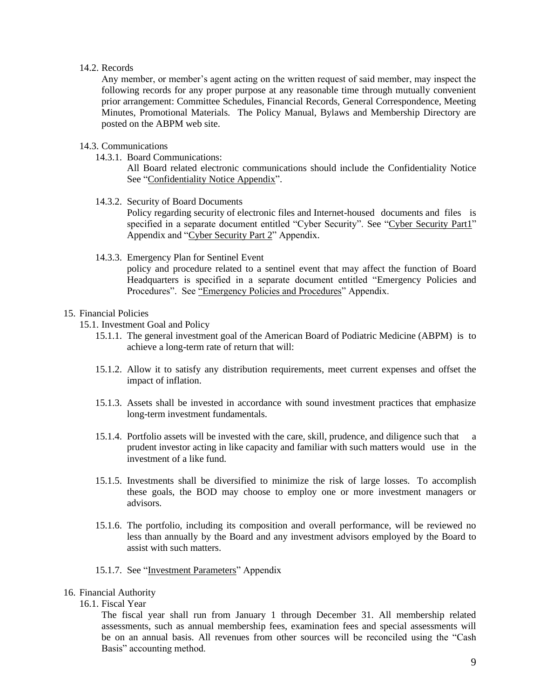#### 14.2. Records

Any member, or member's agent acting on the written request of said member, may inspect the following records for any proper purpose at any reasonable time through mutually convenient prior arrangement: Committee Schedules, Financial Records, General Correspondence, Meeting Minutes, Promotional Materials. The Policy Manual, Bylaws and Membership Directory are posted on the ABPM web site.

#### 14.3. Communications

14.3.1. Board Communications:

All Board related electronic communications should include the Confidentiality Notice See ["Confidentiality Notice Appendix".](file:///C:/Users/amanda/AppData/Local/Microsoft/Windows/INetCache/Content.Outlook/C2ETM3PM/Appendix/2.%20Confidentiality%20Notice%20Appendix.docx)

14.3.2. Security of Board Documents

Policy regarding security of electronic files and Internet-housed documents and files is specified in a separate document entitled "Cyber Security". See "Cyber [Security](file:///C:/Users/amanda/AppData/Local/Microsoft/Windows/INetCache/Content.Outlook/C2ETM3PM/Policy%20Manual%20Appendix/4.%20Cyber%20&%20Written%20Security%20Policy%20Addendum_Part%201.doc) Part1" [Appendix](file:///C:/Users/amanda/AppData/Local/Microsoft/Windows/INetCache/Content.Outlook/C2ETM3PM/Policy%20Manual%20Appendix/4.%20Cyber%20&%20Written%20Security%20Policy%20Addendum_Part%201.doc) and "Cyber Security Part 2" Appendix.

14.3.3. Emergency Plan for Sentinel Event policy and procedure related to a sentinel event that may affect the function of Board Headquarters is specified in a separate document entitled "Emergency Policies and Procedures". See ["Emergency Policies and Procedures" Appendix.](file:///C:/Users/amanda/AppData/Local/Microsoft/Windows/INetCache/Content.Outlook/C2ETM3PM/Policy%20Manual%20Appendix/6.%20Emergency%20Policies%20and%20Procedures%20Appendix.docx)

#### 15. Financial Policies

- 15.1. Investment Goal and Policy
	- 15.1.1. The general investment goal of the American Board of Podiatric Medicine (ABPM) is to achieve a long-term rate of return that will:
	- 15.1.2. Allow it to satisfy any distribution requirements, meet current expenses and offset the impact of inflation.
	- 15.1.3. Assets shall be invested in accordance with sound investment practices that emphasize long-term investment fundamentals.
	- 15.1.4. Portfolio assets will be invested with the care, skill, prudence, and diligence such that a prudent investor acting in like capacity and familiar with such matters would use in the investment of a like fund.
	- 15.1.5. Investments shall be diversified to minimize the risk of large losses. To accomplish these goals, the BOD may choose to employ one or more investment managers or advisors.
	- 15.1.6. The portfolio, including its composition and overall performance, will be reviewed no less than annually by the Board and any investment advisors employed by the Board to assist with such matters.
	- 15.1.7. See ["Investment Parameters" Appendix](file:///C:/Users/amanda/AppData/Local/Microsoft/Windows/INetCache/Content.Outlook/C2ETM3PM/Policy%20Manual%20Appendix/8.%20The%20American%20Board%20of%20Podiatric%20Medicine%20-%20IPS_Investment%20Appendix.docx)

#### 16. Financial Authority

16.1. Fiscal Year

The fiscal year shall run from January 1 through December 31. All membership related assessments, such as annual membership fees, examination fees and special assessments will be on an annual basis. All revenues from other sources will be reconciled using the "Cash Basis" accounting method.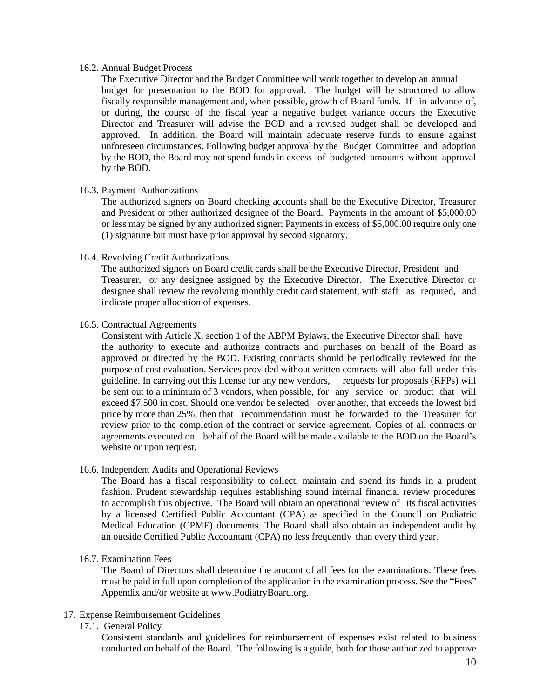#### 16.2. Annual Budget Process

The Executive Director and the Budget Committee will work together to develop an annual budget for presentation to the BOD for approval. The budget will be structured to allow fiscally responsible management and, when possible, growth of Board funds. If in advance of, or during, the course of the fiscal year a negative budget variance occurs the Executive Director and Treasurer will advise the BOD and a revised budget shall be developed and approved. In addition, the Board will maintain adequate reserve funds to ensure against unforeseen circumstances. Following budget approval by the Budget Committee and adoption by the BOD, the Board may not spend funds in excess of budgeted amounts without approval by the BOD.

#### 16.3. Payment Authorizations

The authorized signers on Board checking accounts shall be the Executive Director, Treasurer and President or other authorized designee of the Board. Payments in the amount of \$5,000.00 or less may be signed by any authorized signer; Payments in excess of \$5,000.00 require only one (1) signature but must have prior approval by second signatory.

#### 16.4. Revolving Credit Authorizations

The authorized signers on Board credit cards shall be the Executive Director, President and Treasurer, or any designee assigned by the Executive Director. The Executive Director or designee shall review the revolving monthly credit card statement, with staff as required, and indicate proper allocation of expenses.

#### 16.5. Contractual Agreements

Consistent with Article X, section 1 of the ABPM Bylaws, the Executive Director shall have the authority to execute and authorize contracts and purchases on behalf of the Board as approved or directed by the BOD. Existing contracts should be periodically reviewed for the purpose of cost evaluation. Services provided without written contracts will also fall under this guideline. In carrying out this license for any new vendors, requests for proposals (RFPs) will be sent out to a minimum of 3 vendors, when possible, for any service or product that will exceed \$7,500 in cost. Should one vendor be selected over another, that exceeds the lowest bid price by more than 25%, then that recommendation must be forwarded to the Treasurer for review prior to the completion of the contract or service agreement. Copies of all contracts or agreements executed on behalf of the Board will be made available to the BOD on the Board's website or upon request.

#### 16.6. Independent Audits and Operational Reviews

The Board has a fiscal responsibility to collect, maintain and spend its funds in a prudent fashion. Prudent stewardship requires establishing sound internal financial review procedures to accomplish this objective. The Board will obtain an operational review of its fiscal activities by a licensed Certified Public Accountant (CPA) as specified in the Council on Podiatric Medical Education (CPME) documents. The Board shall also obtain an independent audit by an outside Certified Public Accountant (CPA) no less frequently than every third year.

#### 16.7. Examination Fees

The Board of Directors shall determine the amount of all fees for the examinations. These fees must be paid in full upon completion of the application in the examination process. See the "Fees" Appendix and/or website at www.PodiatryBoard.org.

#### 17. Expense Reimbursement Guidelines

17.1. General Policy

Consistent standards and guidelines for reimbursement of expenses exist related to business conducted on behalf of the Board. The following is a guide, both for those authorized to approve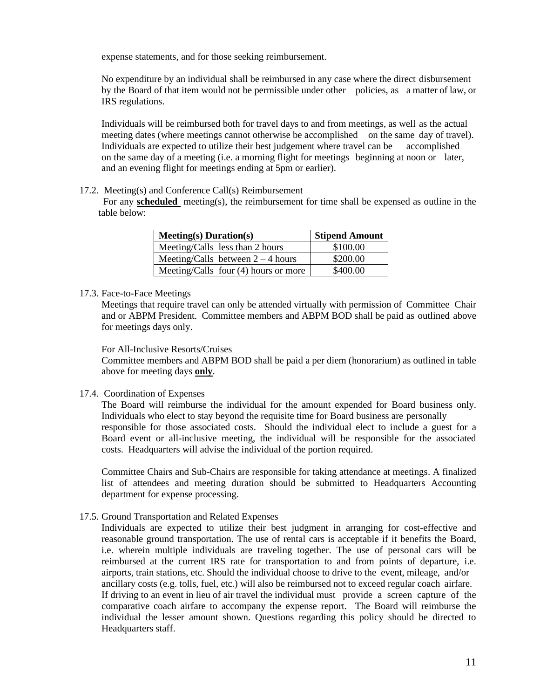expense statements, and for those seeking reimbursement.

No expenditure by an individual shall be reimbursed in any case where the direct disbursement by the Board of that item would not be permissible under other policies, as a matter of law, or IRS regulations.

Individuals will be reimbursed both for travel days to and from meetings, as well as the actual meeting dates (where meetings cannot otherwise be accomplished on the same day of travel). Individuals are expected to utilize their best judgement where travel can be accomplished on the same day of a meeting (i.e. a morning flight for meetings beginning at noon or later, and an evening flight for meetings ending at 5pm or earlier).

# 17.2. Meeting(s) and Conference Call(s) Reimbursement

 For any **scheduled** meeting(s), the reimbursement for time shall be expensed as outline in the table below:

| $Meeting(s) Duration(s)$               | <b>Stipend Amount</b> |
|----------------------------------------|-----------------------|
| Meeting/Calls less than 2 hours        | \$100.00              |
| Meeting/Calls between $2 - 4$ hours    | \$200.00              |
| Meeting/Calls four $(4)$ hours or more | \$400.00              |

#### 17.3. Face-to-Face Meetings

Meetings that require travel can only be attended virtually with permission of Committee Chair and or ABPM President. Committee members and ABPM BOD shall be paid as outlined above for meetings days only.

#### For All-Inclusive Resorts/Cruises

Committee members and ABPM BOD shall be paid a per diem (honorarium) as outlined in table above for meeting days **only**.

#### 17.4. Coordination of Expenses

The Board will reimburse the individual for the amount expended for Board business only. Individuals who elect to stay beyond the requisite time for Board business are personally responsible for those associated costs. Should the individual elect to include a guest for a Board event or all-inclusive meeting, the individual will be responsible for the associated costs. Headquarters will advise the individual of the portion required.

Committee Chairs and Sub-Chairs are responsible for taking attendance at meetings. A finalized list of attendees and meeting duration should be submitted to Headquarters Accounting department for expense processing.

#### 17.5. Ground Transportation and Related Expenses

Individuals are expected to utilize their best judgment in arranging for cost-effective and reasonable ground transportation. The use of rental cars is acceptable if it benefits the Board, i.e. wherein multiple individuals are traveling together. The use of personal cars will be reimbursed at the current IRS rate for transportation to and from points of departure, i.e. airports, train stations, etc. Should the individual choose to drive to the event, mileage, and/or ancillary costs (e.g. tolls, fuel, etc.) will also be reimbursed not to exceed regular coach airfare. If driving to an event in lieu of air travel the individual must provide a screen capture of the comparative coach airfare to accompany the expense report. The Board will reimburse the individual the lesser amount shown. Questions regarding this policy should be directed to Headquarters staff.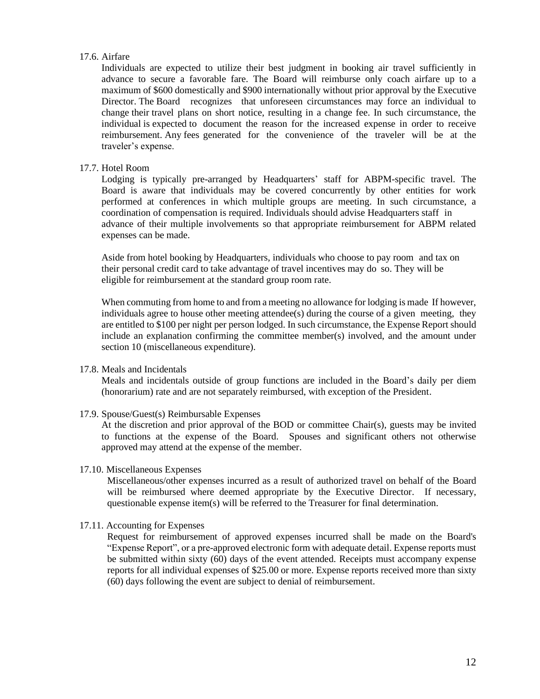#### 17.6. Airfare

Individuals are expected to utilize their best judgment in booking air travel sufficiently in advance to secure a favorable fare. The Board will reimburse only coach airfare up to a maximum of \$600 domestically and \$900 internationally without prior approval by the Executive Director. The Board recognizes that unforeseen circumstances may force an individual to change their travel plans on short notice, resulting in a change fee. In such circumstance, the individual is expected to document the reason for the increased expense in order to receive reimbursement. Any fees generated for the convenience of the traveler will be at the traveler's expense.

#### 17.7. Hotel Room

Lodging is typically pre-arranged by Headquarters' staff for ABPM-specific travel. The Board is aware that individuals may be covered concurrently by other entities for work performed at conferences in which multiple groups are meeting. In such circumstance, a coordination of compensation is required. Individuals should advise Headquarters staff in advance of their multiple involvements so that appropriate reimbursement for ABPM related expenses can be made.

Aside from hotel booking by Headquarters, individuals who choose to pay room and tax on their personal credit card to take advantage of travel incentives may do so. They will be eligible for reimbursement at the standard group room rate.

When commuting from home to and from a meeting no allowance for lodging is made If however, individuals agree to house other meeting attendee(s) during the course of a given meeting, they are entitled to \$100 per night per person lodged. In such circumstance, the Expense Report should include an explanation confirming the committee member(s) involved, and the amount under section 10 (miscellaneous expenditure).

#### 17.8. Meals and Incidentals

Meals and incidentals outside of group functions are included in the Board's daily per diem (honorarium) rate and are not separately reimbursed, with exception of the President.

17.9. Spouse/Guest(s) Reimbursable Expenses

At the discretion and prior approval of the BOD or committee Chair(s), guests may be invited to functions at the expense of the Board. Spouses and significant others not otherwise approved may attend at the expense of the member.

#### 17.10. Miscellaneous Expenses

Miscellaneous/other expenses incurred as a result of authorized travel on behalf of the Board will be reimbursed where deemed appropriate by the Executive Director. If necessary, questionable expense item(s) will be referred to the Treasurer for final determination.

#### 17.11. Accounting for Expenses

Request for reimbursement of approved expenses incurred shall be made on the Board's "Expense Report", or a pre-approved electronic form with adequate detail. Expense reports must be submitted within sixty (60) days of the event attended. Receipts must accompany expense reports for all individual expenses of \$25.00 or more. Expense reports received more than sixty (60) days following the event are subject to denial of reimbursement.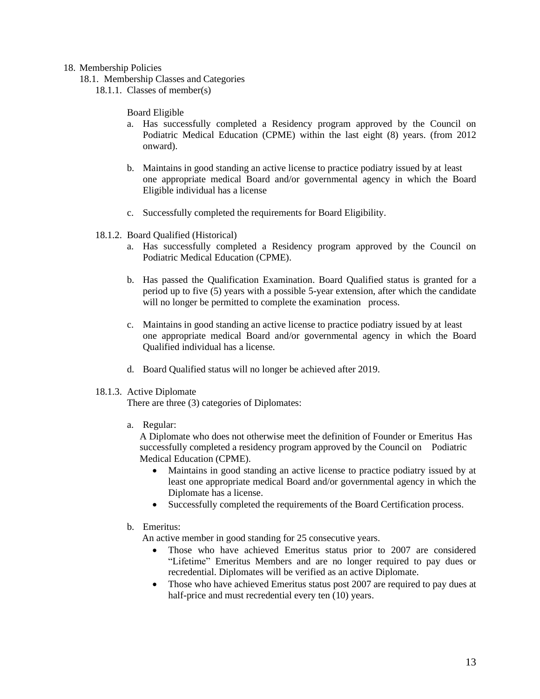#### 18. Membership Policies

- 18.1. Membership Classes and Categories
	- 18.1.1. Classes of member(s)

Board Eligible

- a. Has successfully completed a Residency program approved by the Council on Podiatric Medical Education (CPME) within the last eight (8) years. (from 2012 onward).
- b. Maintains in good standing an active license to practice podiatry issued by at least one appropriate medical Board and/or governmental agency in which the Board Eligible individual has a license
- c. Successfully completed the requirements for Board Eligibility.
- 18.1.2. Board Qualified (Historical)
	- a. Has successfully completed a Residency program approved by the Council on Podiatric Medical Education (CPME).
	- b. Has passed the Qualification Examination. Board Qualified status is granted for a period up to five (5) years with a possible 5-year extension, after which the candidate will no longer be permitted to complete the examination process.
	- c. Maintains in good standing an active license to practice podiatry issued by at least one appropriate medical Board and/or governmental agency in which the Board Qualified individual has a license.
	- d. Board Qualified status will no longer be achieved after 2019.
- 18.1.3. Active Diplomate

There are three (3) categories of Diplomates:

a. Regular:

A Diplomate who does not otherwise meet the definition of Founder or Emeritus Has successfully completed a residency program approved by the Council on Podiatric Medical Education (CPME).

- Maintains in good standing an active license to practice podiatry issued by at least one appropriate medical Board and/or governmental agency in which the Diplomate has a license.
- Successfully completed the requirements of the Board Certification process.
- b. Emeritus:

An active member in good standing for 25 consecutive years.

- Those who have achieved Emeritus status prior to 2007 are considered "Lifetime" Emeritus Members and are no longer required to pay dues or recredential. Diplomates will be verified as an active Diplomate.
- Those who have achieved Emeritus status post 2007 are required to pay dues at half-price and must recredential every ten  $(10)$  years.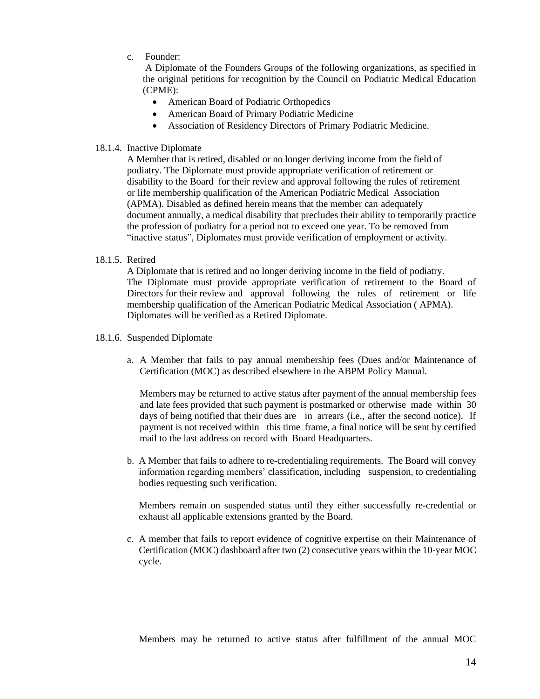c. Founder:

A Diplomate of the Founders Groups of the following organizations, as specified in the original petitions for recognition by the Council on Podiatric Medical Education (CPME):

- American Board of Podiatric Orthopedics
- American Board of Primary Podiatric Medicine
- Association of Residency Directors of Primary Podiatric Medicine.

#### 18.1.4. Inactive Diplomate

A Member that is retired, disabled or no longer deriving income from the field of podiatry. The Diplomate must provide appropriate verification of retirement or disability to the Board for their review and approval following the rules of retirement or life membership qualification of the American Podiatric Medical Association (APMA). Disabled as defined herein means that the member can adequately document annually, a medical disability that precludes their ability to temporarily practice the profession of podiatry for a period not to exceed one year. To be removed from "inactive status", Diplomates must provide verification of employment or activity.

#### 18.1.5. Retired

A Diplomate that is retired and no longer deriving income in the field of podiatry. The Diplomate must provide appropriate verification of retirement to the Board of Directors for their review and approval following the rules of retirement or life membership qualification of the American Podiatric Medical Association ( APMA). Diplomates will be verified as a Retired Diplomate.

- 18.1.6. Suspended Diplomate
	- a. A Member that fails to pay annual membership fees (Dues and/or Maintenance of Certification (MOC) as described elsewhere in the ABPM Policy Manual.

Members may be returned to active status after payment of the annual membership fees and late fees provided that such payment is postmarked or otherwise made within 30 days of being notified that their dues are in arrears (i.e., after the second notice). If payment is not received within this time frame, a final notice will be sent by certified mail to the last address on record with Board Headquarters.

b. A Member that fails to adhere to re-credentialing requirements. The Board will convey information regarding members' classification, including suspension, to credentialing bodies requesting such verification.

Members remain on suspended status until they either successfully re-credential or exhaust all applicable extensions granted by the Board.

c. A member that fails to report evidence of cognitive expertise on their Maintenance of Certification (MOC) dashboard after two (2) consecutive years within the 10-year MOC cycle.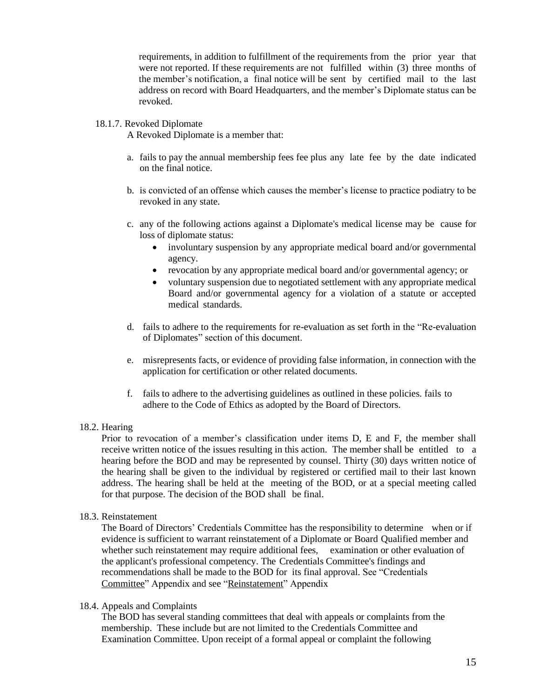requirements, in addition to fulfillment of the requirements from the prior year that were not reported. If these requirements are not fulfilled within (3) three months of the member's notification, a final notice will be sent by certified mail to the last address on record with Board Headquarters, and the member's Diplomate status can be revoked.

#### 18.1.7. Revoked Diplomate

A Revoked Diplomate is a member that:

- a. fails to pay the annual membership fees fee plus any late fee by the date indicated on the final notice.
- b. is convicted of an offense which causes the member's license to practice podiatry to be revoked in any state.
- c. any of the following actions against a Diplomate's medical license may be cause for loss of diplomate status:
	- involuntary suspension by any appropriate medical board and/or governmental agency.
	- revocation by any appropriate medical board and/or governmental agency; or
	- voluntary suspension due to negotiated settlement with any appropriate medical Board and/or governmental agency for a violation of a statute or accepted medical standards.
- d. fails to adhere to the requirements for re-evaluation as set forth in the "Re-evaluation of Diplomates" section of this document.
- e. misrepresents facts, or evidence of providing false information, in connection with the application for certification or other related documents.
- f. fails to adhere to the advertising guidelines as outlined in these policies. fails to adhere to the Code of Ethics as adopted by the Board of Directors.

#### 18.2. Hearing

Prior to revocation of a member's classification under items D, E and F, the member shall receive written notice of the issues resulting in this action. The member shall be entitled to a hearing before the BOD and may be represented by counsel. Thirty (30) days written notice of the hearing shall be given to the individual by registered or certified mail to their last known address. The hearing shall be held at the meeting of the BOD, or at a special meeting called for that purpose. The decision of the BOD shall be final.

#### 18.3. Reinstatement

The Board of Directors' Credentials Committee has the responsibility to determine when or if evidence is sufficient to warrant reinstatement of a Diplomate or Board Qualified member and whether such reinstatement may require additional fees, examination or other evaluation of the applicant's professional competency. The Credentials Committee's findings and recommendations shall be made to the BOD for its final approval. [See "Credentials](file:///C:/Users/amanda/AppData/Local/Microsoft/Windows/INetCache/Content.Outlook/C2ETM3PM/Policy%20Manual%20Appendix/3.%20Credentials%20Appendix.docx)  [Committee" Appendix](file:///C:/Users/amanda/AppData/Local/Microsoft/Windows/INetCache/Content.Outlook/C2ETM3PM/Policy%20Manual%20Appendix/3.%20Credentials%20Appendix.docx) and see ["Reinstatement" Appendix](file:///C:/Users/amanda/AppData/Local/Microsoft/Windows/INetCache/Content.Outlook/C2ETM3PM/Policy%20Manual%20Appendix/11.%20Reinstatement%20Appendix.docx) 

#### 18.4. Appeals and Complaints

The BOD has several standing committees that deal with appeals or complaints from the membership. These include but are not limited to the Credentials Committee and Examination Committee. Upon receipt of a formal appeal or complaint the following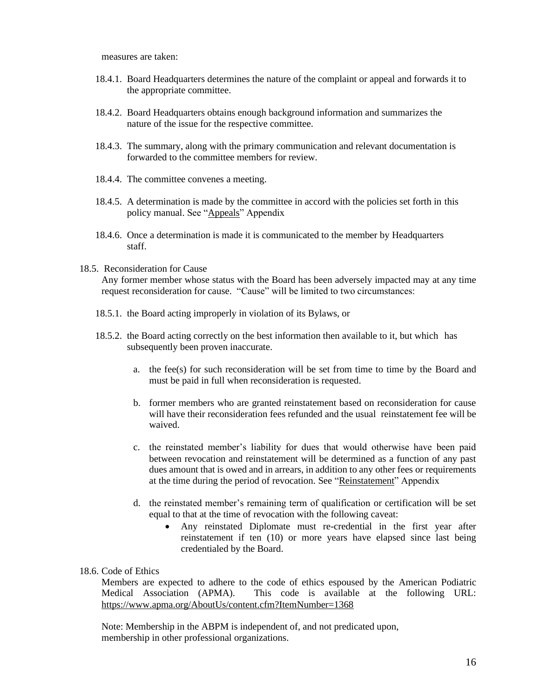measures are taken:

- 18.4.1. Board Headquarters determines the nature of the complaint or appeal and forwards it to the appropriate committee.
- 18.4.2. Board Headquarters obtains enough background information and summarizes the nature of the issue for the respective committee.
- 18.4.3. The summary, along with the primary communication and relevant documentation is forwarded to the committee members for review.
- 18.4.4. The committee convenes a meeting.
- 18.4.5. A determination is made by the committee in accord with the policies set forth in this policy manual. See "Appeals" Appendix
- 18.4.6. Once a determination is made it is communicated to the member by Headquarters staff.

#### 18.5. Reconsideration for Cause

Any former member whose status with the Board has been adversely impacted may at any time request reconsideration for cause. "Cause" will be limited to two circumstances:

- 18.5.1. the Board acting improperly in violation of its Bylaws, or
- 18.5.2. the Board acting correctly on the best information then available to it, but which has subsequently been proven inaccurate.
	- a. the fee(s) for such reconsideration will be set from time to time by the Board and must be paid in full when reconsideration is requested.
	- b. former members who are granted reinstatement based on reconsideration for cause will have their reconsideration fees refunded and the usual reinstatement fee will be waived.
	- c. the reinstated member's liability for dues that would otherwise have been paid between revocation and reinstatement will be determined as a function of any past dues amount that is owed and in arrears, in addition to any other fees or requirements at the time during the period of revocation. See "Reinstatement" Appendix
	- d. the reinstated member's remaining term of qualification or certification will be set equal to that at the time of revocation with the following caveat:
		- Any reinstated Diplomate must re-credential in the first year after reinstatement if ten (10) or more years have elapsed since last being credentialed by the Board.

#### 18.6. Code of Ethics

Members are expected to adhere to the code of ethics espoused by the American Podiatric Medical Association (APMA). This code is available at the following URL: https://www.apma.org/AboutUs/content.cfm?ItemNumber=1368

Note: Membership in the ABPM is independent of, and not predicated upon, membership in other professional organizations.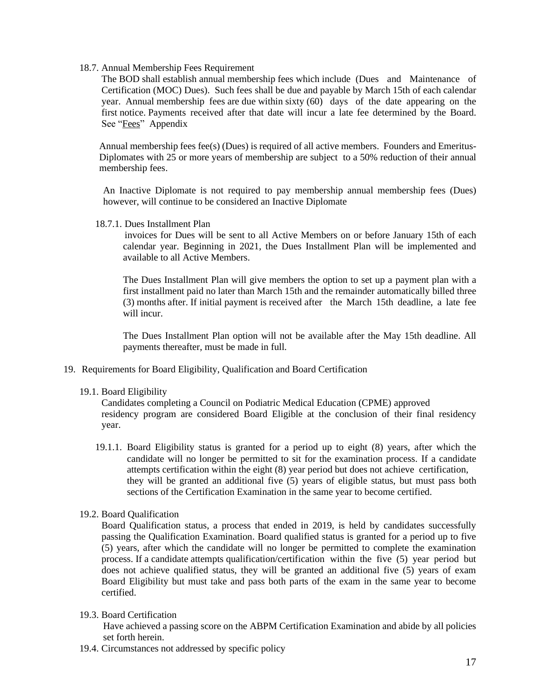18.7. Annual Membership Fees Requirement

The BOD shall establish annual membership fees which include (Dues and Maintenance of Certification (MOC) Dues). Such fees shall be due and payable by March 15th of each calendar year. Annual membership fees are due within sixty (60) days of the date appearing on the first notice. Payments received after that date will incur a late fee determined by the Board. [See "Fees" Appendix](file:///C:/Users/amanda/AppData/Local/Microsoft/Windows/INetCache/Content.Outlook/C2ETM3PM/Policy%20Manual%20Appendix/7.%20Fees%20Appendix.docx) 

Annual membership fees fee(s) (Dues) is required of all active members. Founders and Emeritus-Diplomates with 25 or more years of membership are subject to a 50% reduction of their annual membership fees.

An Inactive Diplomate is not required to pay membership annual membership fees (Dues) however, will continue to be considered an Inactive Diplomate

18.7.1. Dues Installment Plan

 invoices for Dues will be sent to all Active Members on or before January 15th of each calendar year. Beginning in 2021, the Dues Installment Plan will be implemented and available to all Active Members.

The Dues Installment Plan will give members the option to set up a payment plan with a first installment paid no later than March 15th and the remainder automatically billed three (3) months after. If initial payment is received after the March 15th deadline, a late fee will incur.

The Dues Installment Plan option will not be available after the May 15th deadline. All payments thereafter, must be made in full.

- 19. Requirements for Board Eligibility, Qualification and Board Certification
	- 19.1. Board Eligibility

Candidates completing a Council on Podiatric Medical Education (CPME) approved residency program are considered Board Eligible at the conclusion of their final residency year.

- 19.1.1. Board Eligibility status is granted for a period up to eight (8) years, after which the candidate will no longer be permitted to sit for the examination process. If a candidate attempts certification within the eight (8) year period but does not achieve certification, they will be granted an additional five (5) years of eligible status, but must pass both sections of the Certification Examination in the same year to become certified.
- 19.2. Board Qualification

Board Qualification status, a process that ended in 2019, is held by candidates successfully passing the Qualification Examination. Board qualified status is granted for a period up to five (5) years, after which the candidate will no longer be permitted to complete the examination process. If a candidate attempts qualification/certification within the five (5) year period but does not achieve qualified status, they will be granted an additional five (5) years of exam Board Eligibility but must take and pass both parts of the exam in the same year to become certified.

19.3. Board Certification

Have achieved a passing score on the ABPM Certification Examination and abide by all policies set forth herein.

19.4. Circumstances not addressed by specific policy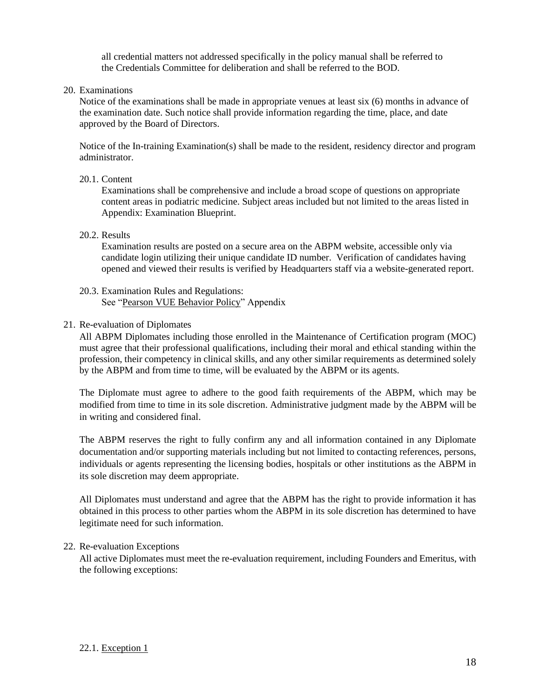all credential matters not addressed specifically in the policy manual shall be referred to the Credentials Committee for deliberation and shall be referred to the BOD.

20. Examinations

Notice of the examinations shall be made in appropriate venues at least six (6) months in advance of the examination date. Such notice shall provide information regarding the time, place, and date approved by the Board of Directors.

Notice of the In-training Examination(s) shall be made to the resident, residency director and program administrator.

# 20.1. Content

Examinations shall be comprehensive and include a broad scope of questions on appropriate content areas in podiatric medicine. Subject areas included but not limited to the areas listed in Appendix: Examination Blueprint.

20.2. Results

Examination results are posted on a secure area on the ABPM website, accessible only via candidate login utilizing their unique candidate ID number. Verification of candidates having opened and viewed their results is verified by Headquarters staff via a website-generated report.

20.3. Examination Rules and Regulations: [See "Pearson VUE Behavior Policy" Appendix](file:///C:/Users/amanda/AppData/Local/Microsoft/Windows/INetCache/Content.Outlook/C2ETM3PM/Policy%20Manual%20Appendix/10.%20Pearson%20Vue_candidate_rules_agreement_Policy%20appendix.docx)

#### 21. Re-evaluation of Diplomates

All ABPM Diplomates including those enrolled in the Maintenance of Certification program (MOC) must agree that their professional qualifications, including their moral and ethical standing within the profession, their competency in clinical skills, and any other similar requirements as determined solely by the ABPM and from time to time, will be evaluated by the ABPM or its agents.

The Diplomate must agree to adhere to the good faith requirements of the ABPM, which may be modified from time to time in its sole discretion. Administrative judgment made by the ABPM will be in writing and considered final.

The ABPM reserves the right to fully confirm any and all information contained in any Diplomate documentation and/or supporting materials including but not limited to contacting references, persons, individuals or agents representing the licensing bodies, hospitals or other institutions as the ABPM in its sole discretion may deem appropriate.

All Diplomates must understand and agree that the ABPM has the right to provide information it has obtained in this process to other parties whom the ABPM in its sole discretion has determined to have legitimate need for such information.

# 22. Re-evaluation Exceptions

All active Diplomates must meet the re-evaluation requirement, including Founders and Emeritus, with the following exceptions: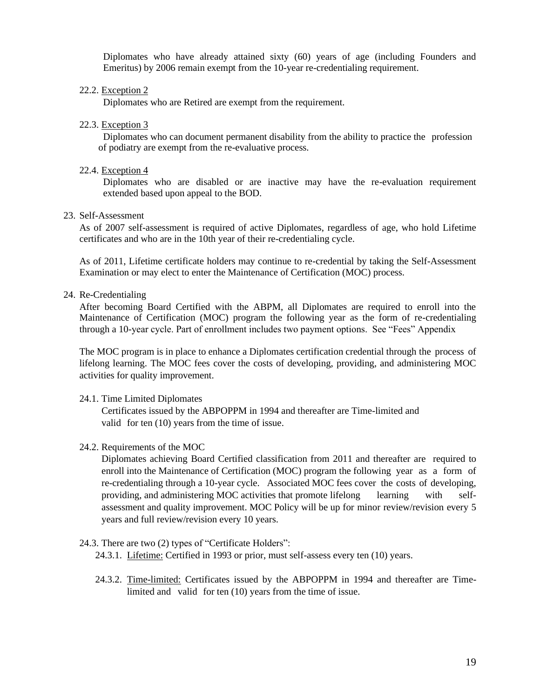Diplomates who have already attained sixty (60) years of age (including Founders and Emeritus) by 2006 remain exempt from the 10-year re-credentialing requirement.

22.2. Exception 2

Diplomates who are Retired are exempt from the requirement.

22.3. Exception 3

Diplomates who can document permanent disability from the ability to practice the profession of podiatry are exempt from the re-evaluative process.

22.4. Exception 4

Diplomates who are disabled or are inactive may have the re-evaluation requirement extended based upon appeal to the BOD.

23. Self-Assessment

As of 2007 self-assessment is required of active Diplomates, regardless of age, who hold Lifetime certificates and who are in the 10th year of their re-credentialing cycle.

As of 2011, Lifetime certificate holders may continue to re-credential by taking the Self-Assessment Examination or may elect to enter the Maintenance of Certification (MOC) process.

#### 24. Re-Credentialing

After becoming Board Certified with the ABPM, all Diplomates are required to enroll into the Maintenance of Certification (MOC) program the following year as the form of re-credentialing through a 10-year cycle. Part of enrollment includes two payment options. See "Fees" Appendix

The MOC program is in place to enhance a Diplomates certification credential through the process of lifelong learning. The MOC fees cover the costs of developing, providing, and administering MOC activities for quality improvement.

24.1. Time Limited Diplomates

Certificates issued by the ABPOPPM in 1994 and thereafter are Time-limited and valid for ten (10) years from the time of issue.

24.2. Requirements of the MOC

Diplomates achieving Board Certified classification from 2011 and thereafter are required to enroll into the Maintenance of Certification (MOC) program the following year as a form of re-credentialing through a 10-year cycle. Associated MOC fees cover the costs of developing, providing, and administering MOC activities that promote lifelong learning with selfassessment and quality improvement. MOC Policy will be up for minor review/revision every 5 years and full review/revision every 10 years.

24.3. There are two (2) types of "Certificate Holders":

24.3.1. Lifetime: Certified in 1993 or prior, must self-assess every ten (10) years.

24.3.2. Time-limited: Certificates issued by the ABPOPPM in 1994 and thereafter are Timelimited and valid for ten (10) years from the time of issue.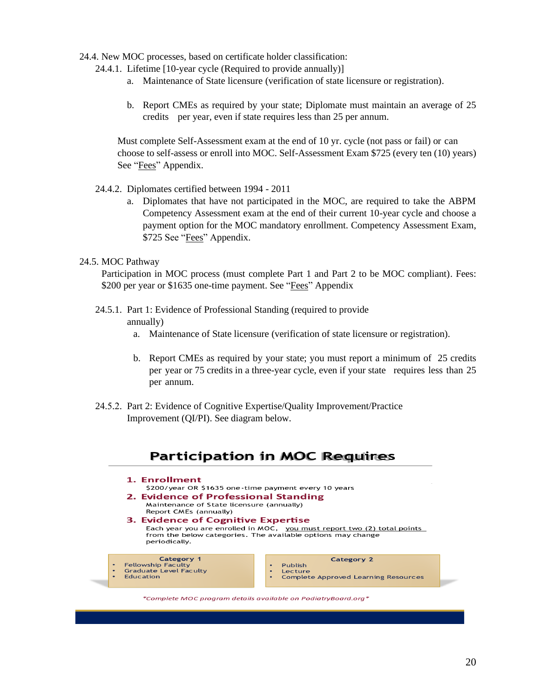- 24.4. New MOC processes, based on certificate holder classification:
	- 24.4.1. Lifetime [10-year cycle (Required to provide annually)]
		- a. Maintenance of State licensure (verification of state licensure or registration).
		- b. Report CMEs as required by your state; Diplomate must maintain an average of 25 credits per year, even if state requires less than 25 per annum.

Must complete Self-Assessment exam at the end of 10 yr. cycle (not pass or fail) or can choose to self-assess or enroll into MOC. Self-Assessment Exam \$725 (every ten (10) years) See "Fees" Appendix.

- 24.4.2. Diplomates certified between 1994 2011
	- a. Diplomates that have not participated in the MOC, are required to take the ABPM Competency Assessment exam at the end of their current 10-year cycle and choose a payment option for the MOC mandatory enrollment. Competency Assessment Exam, \$725 See "Fees" Appendix.

#### 24.5. MOC Pathway

Participation in MOC process (must complete Part 1 and Part 2 to be MOC compliant). Fees: \$200 per year or \$1635 one-time payment. See "Fees" Appendix

- 24.5.1. Part 1: Evidence of Professional Standing (required to provide annually)
	- a. Maintenance of State licensure (verification of state licensure or registration).
	- b. Report CMEs as required by your state; you must report a minimum of 25 credits per year or 75 credits in a three-year cycle, even if your state requires less than 25 per annum.
- 24.5.2. Part 2: Evidence of Cognitive Expertise/Quality Improvement/Practice Improvement (QI/PI). See diagram below.



\*Complete MOC program details available on PodiatryBoard.org\*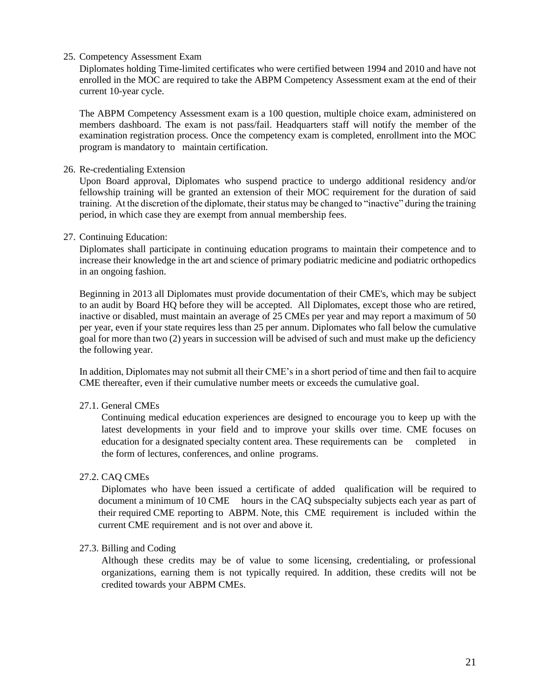25. Competency Assessment Exam

Diplomates holding Time-limited certificates who were certified between 1994 and 2010 and have not enrolled in the MOC are required to take the ABPM Competency Assessment exam at the end of their current 10-year cycle.

The ABPM Competency Assessment exam is a 100 question, multiple choice exam, administered on members dashboard. The exam is not pass/fail. Headquarters staff will notify the member of the examination registration process. Once the competency exam is completed, enrollment into the MOC program is mandatory to maintain certification.

#### 26. Re-credentialing Extension

Upon Board approval, Diplomates who suspend practice to undergo additional residency and/or fellowship training will be granted an extension of their MOC requirement for the duration of said training. At the discretion of the diplomate, their status may be changed to "inactive" during the training period, in which case they are exempt from annual membership fees.

#### 27. Continuing Education:

Diplomates shall participate in continuing education programs to maintain their competence and to increase their knowledge in the art and science of primary podiatric medicine and podiatric orthopedics in an ongoing fashion.

Beginning in 2013 all Diplomates must provide documentation of their CME's, which may be subject to an audit by Board HQ before they will be accepted. All Diplomates, except those who are retired, inactive or disabled, must maintain an average of 25 CMEs per year and may report a maximum of 50 per year, even if your state requires less than 25 per annum. Diplomates who fall below the cumulative goal for more than two (2) years in succession will be advised of such and must make up the deficiency the following year.

In addition, Diplomates may not submit all their CME's in a short period of time and then fail to acquire CME thereafter, even if their cumulative number meets or exceeds the cumulative goal.

#### 27.1. General CMEs

Continuing medical education experiences are designed to encourage you to keep up with the latest developments in your field and to improve your skills over time. CME focuses on education for a designated specialty content area. These requirements can be completed in the form of lectures, conferences, and online programs.

#### 27.2. CAQ CMEs

Diplomates who have been issued a certificate of added qualification will be required to document a minimum of 10 CME hours in the CAQ subspecialty subjects each year as part of their required CME reporting to ABPM. Note, this CME requirement is included within the current CME requirement and is not over and above it.

#### 27.3. Billing and Coding

Although these credits may be of value to some licensing, credentialing, or professional organizations, earning them is not typically required. In addition, these credits will not be credited towards your ABPM CMEs.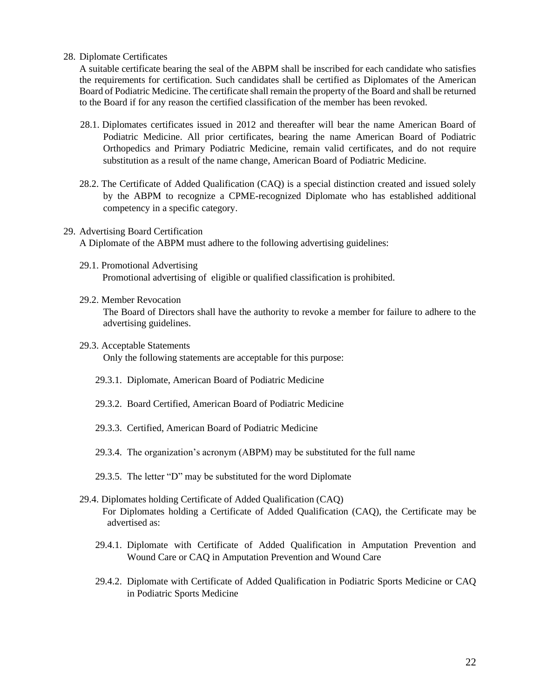28. Diplomate Certificates

A suitable certificate bearing the seal of the ABPM shall be inscribed for each candidate who satisfies the requirements for certification. Such candidates shall be certified as Diplomates of the American Board of Podiatric Medicine. The certificate shall remain the property of the Board and shall be returned to the Board if for any reason the certified classification of the member has been revoked.

- 28.1. Diplomates certificates issued in 2012 and thereafter will bear the name American Board of Podiatric Medicine. All prior certificates, bearing the name American Board of Podiatric Orthopedics and Primary Podiatric Medicine, remain valid certificates, and do not require substitution as a result of the name change, American Board of Podiatric Medicine.
- 28.2. The Certificate of Added Qualification (CAQ) is a special distinction created and issued solely by the ABPM to recognize a CPME-recognized Diplomate who has established additional competency in a specific category.
- 29. Advertising Board Certification A Diplomate of the ABPM must adhere to the following advertising guidelines:
	- 29.1. Promotional Advertising Promotional advertising of eligible or qualified classification is prohibited.

#### 29.2. Member Revocation

The Board of Directors shall have the authority to revoke a member for failure to adhere to the advertising guidelines.

- 29.3. Acceptable Statements Only the following statements are acceptable for this purpose:
	- 29.3.1. Diplomate, American Board of Podiatric Medicine
	- 29.3.2. Board Certified, American Board of Podiatric Medicine
	- 29.3.3. Certified, American Board of Podiatric Medicine
	- 29.3.4. The organization's acronym (ABPM) may be substituted for the full name
	- 29.3.5. The letter "D" may be substituted for the word Diplomate
- 29.4. Diplomates holding Certificate of Added Qualification (CAQ) For Diplomates holding a Certificate of Added Qualification (CAQ), the Certificate may be advertised as:
	- 29.4.1. Diplomate with Certificate of Added Qualification in Amputation Prevention and Wound Care or CAQ in Amputation Prevention and Wound Care
	- 29.4.2. Diplomate with Certificate of Added Qualification in Podiatric Sports Medicine or CAQ in Podiatric Sports Medicine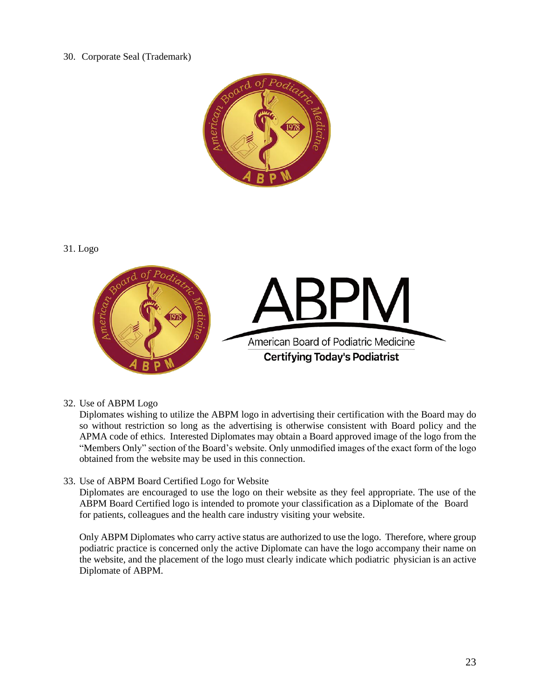# 30. Corporate Seal (Trademark)



#### 31. Logo



32. Use of ABPM Logo

Diplomates wishing to utilize the ABPM logo in advertising their certification with the Board may do so without restriction so long as the advertising is otherwise consistent with Board policy and the APMA code of ethics. Interested Diplomates may obtain a Board approved image of the logo from the "Members Only" section of the Board's website. Only unmodified images of the exact form of the logo obtained from the website may be used in this connection.

33. Use of ABPM Board Certified Logo for Website

Diplomates are encouraged to use the logo on their website as they feel appropriate. The use of the ABPM Board Certified logo is intended to promote your classification as a Diplomate of the Board for patients, colleagues and the health care industry visiting your website.

Only ABPM Diplomates who carry active status are authorized to use the logo. Therefore, where group podiatric practice is concerned only the active Diplomate can have the logo accompany their name on the website, and the placement of the logo must clearly indicate which podiatric physician is an active Diplomate of ABPM.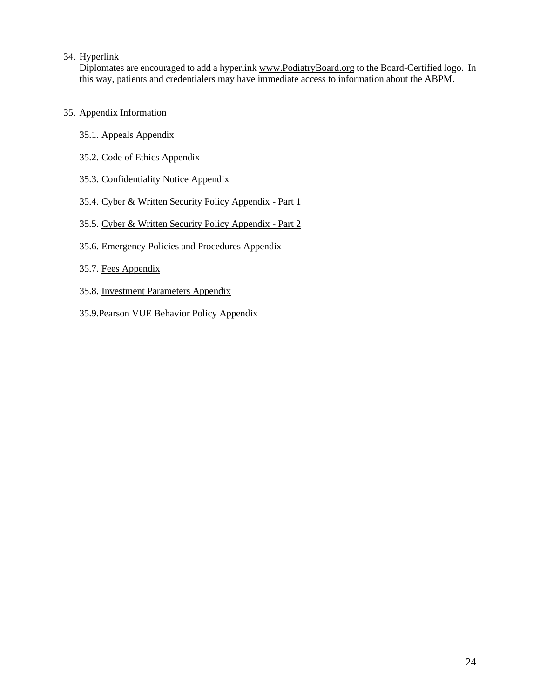#### 34. Hyperlink

Diplomates are encouraged to add a hyperlink [www.PodiatryBoard.org](http://www.abpmed.org/) to the Board-Certified logo. In this way, patients and credentialers may have immediate access to information about the ABPM.

- 35. Appendix Information
	- 35.1. Appeals Appendix
	- 35.2. Code of Ethics Appendix
	- 35.3. Confidentiality Notice Appendix
	- 35.4. Cyber & Written Security Policy Appendix Part 1
	- 35.5. Cyber & Written Security Policy Appendix Part 2
	- 35.6. Emergency Policies and Procedures Appendix
	- 35.7. [Fees Appendix](file:///C:/Users/amanda/AppData/Local/Microsoft/Windows/INetCache/Content.Outlook/C2ETM3PM/Policy%20Manual%20Appendix/7.%20Fees%20Appendix.docx)
	- 35.8. Investment Parameters Appendix
	- 35.9.Pearson VUE Behavior Policy Appendix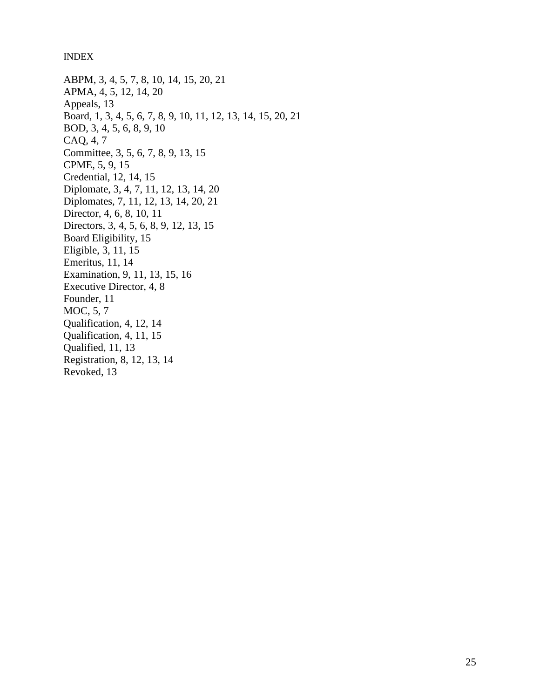INDEX

ABPM, 3, 4, 5, 7, 8, 10, 14, 15, 20, 21 APMA, 4, 5, 12, 14, 20 Appeals, 13 Board, 1, 3, 4, 5, 6, 7, 8, 9, 10, 11, 12, 13, 14, 15, 20, 21 BOD, 3, 4, 5, 6, 8, 9, 10 CAQ, 4, 7 Committee, 3, 5, 6, 7, 8, 9, 13, 15 CPME, 5, 9, 15 Credential, 12, 14, 15 Diplomate, 3, 4, 7, 11, 12, 13, 14, 20 Diplomates, 7, 11, 12, 13, 14, 20, 21 Director, 4, 6, 8, 10, 11 Directors, 3, 4, 5, 6, 8, 9, 12, 13, 15 Board Eligibility, 15 Eligible, 3, 11, 15 Emeritus, 11, 14 Examination, 9, 11, 13, 15, 16 Executive Director, 4, 8 Founder, 11 MOC, 5, 7 Qualification, 4, 12, 14 Qualification, 4, 11, 15 Qualified, 11, 13 Registration, 8, 12, 13, 14

Revoked, 13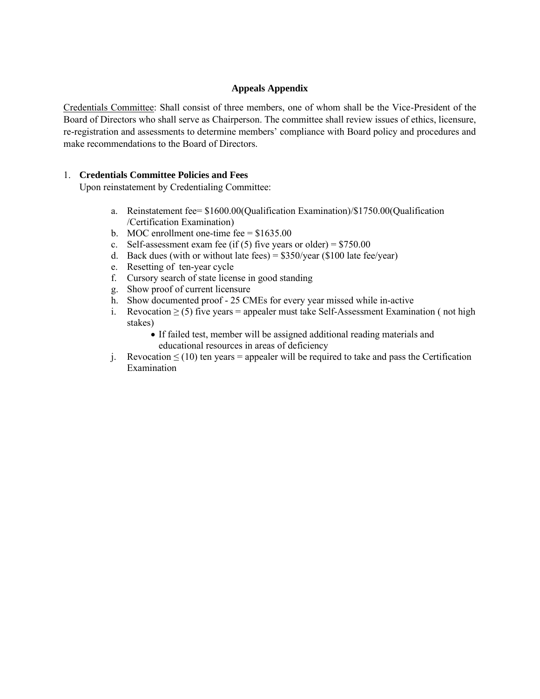#### **Appeals Appendix**

Credentials Committee: Shall consist of three members, one of whom shall be the Vice-President of the Board of Directors who shall serve as Chairperson. The committee shall review issues of ethics, licensure, re-registration and assessments to determine members' compliance with Board policy and procedures and make recommendations to the Board of Directors.

#### 1. **Credentials Committee Policies and Fees**

Upon reinstatement by Credentialing Committee:

- a. Reinstatement fee= \$1600.00(Qualification Examination)/\$1750.00(Qualification /Certification Examination)
- b. MOC enrollment one-time fee =  $$1635.00$
- c. Self-assessment exam fee (if (5) five years or older) =  $$750.00$
- d. Back dues (with or without late fees) =  $$350/year$  (\$100 late fee/year)
- e. Resetting of ten-year cycle
- f. Cursory search of state license in good standing
- g. Show proof of current licensure
- h. Show documented proof 25 CMEs for every year missed while in-active
- i. Revocation  $\geq$  (5) five years = appealer must take Self-Assessment Examination (not high stakes)
	- If failed test, member will be assigned additional reading materials and educational resources in areas of deficiency
- j. Revocation  $\leq$  (10) ten years = appealer will be required to take and pass the Certification Examination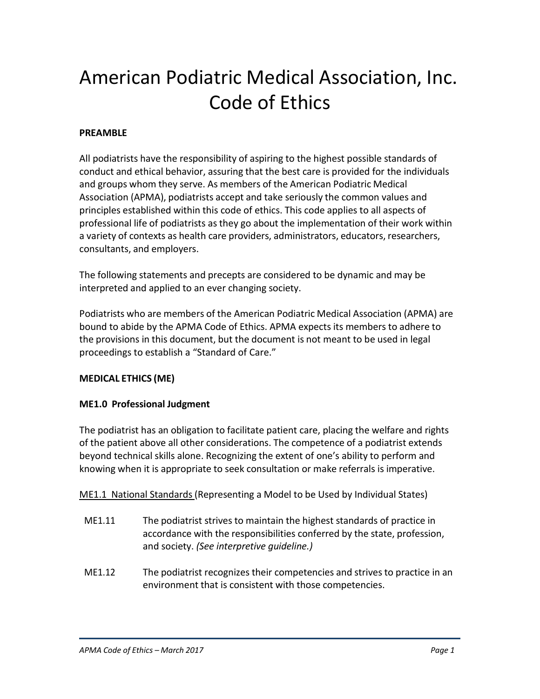# American Podiatric Medical Association, Inc. Code of Ethics

# **PREAMBLE**

All podiatrists have the responsibility of aspiring to the highest possible standards of conduct and ethical behavior, assuring that the best care is provided for the individuals and groups whom they serve. As members of the American Podiatric Medical Association (APMA), podiatrists accept and take seriously the common values and principles established within this code of ethics. This code applies to all aspects of professional life of podiatrists as they go about the implementation of their work within a variety of contexts as health care providers, administrators, educators, researchers, consultants, and employers.

The following statements and precepts are considered to be dynamic and may be interpreted and applied to an ever changing society.

Podiatrists who are members of the American Podiatric Medical Association (APMA) are bound to abide by the APMA Code of Ethics. APMA expects its members to adhere to the provisions in this document, but the document is not meant to be used in legal proceedings to establish a "Standard of Care."

# **MEDICAL ETHICS (ME)**

# **ME1.0 Professional Judgment**

The podiatrist has an obligation to facilitate patient care, placing the welfare and rights of the patient above all other considerations. The competence of a podiatrist extends beyond technical skills alone. Recognizing the extent of one's ability to perform and knowing when it is appropriate to seek consultation or make referrals is imperative.

ME1.1 National Standards (Representing a Model to be Used by Individual States)

- ME1.11 The podiatrist strives to maintain the highest standards of practice in accordance with the responsibilities conferred by the state, profession, and society. *(See interpretive guideline.)*
- ME1.12 The podiatrist recognizes their competencies and strives to practice in an environment that is consistent with those competencies.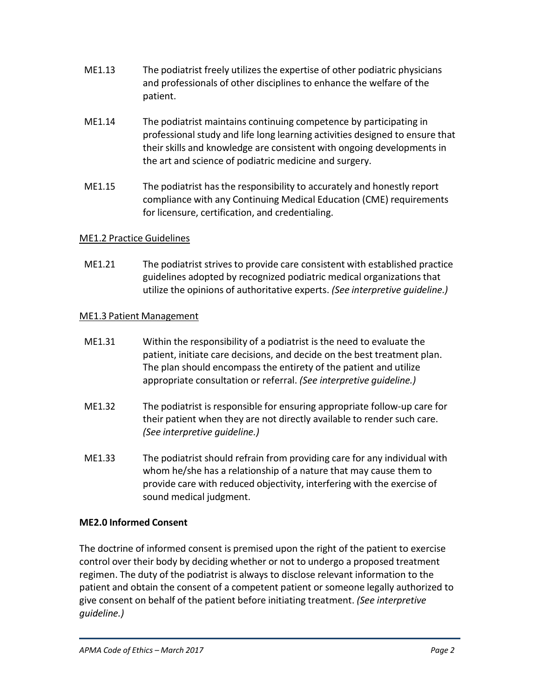- ME1.13 The podiatrist freely utilizes the expertise of other podiatric physicians and professionals of other disciplines to enhance the welfare of the patient.
- ME1.14 The podiatrist maintains continuing competence by participating in professional study and life long learning activities designed to ensure that their skills and knowledge are consistent with ongoing developments in the art and science of podiatric medicine and surgery.
- ME1.15 The podiatrist has the responsibility to accurately and honestly report compliance with any Continuing Medical Education (CME) requirements for licensure, certification, and credentialing.

# ME1.2 Practice Guidelines

ME1.21 The podiatrist strives to provide care consistent with established practice guidelines adopted by recognized podiatric medical organizationsthat utilize the opinions of authoritative experts. *(See interpretive guideline.)*

# ME1.3 Patient Management

- ME1.31 Within the responsibility of a podiatrist is the need to evaluate the patient, initiate care decisions, and decide on the best treatment plan. The plan should encompass the entirety of the patient and utilize appropriate consultation or referral. *(See interpretive guideline.)*
- ME1.32 The podiatrist is responsible for ensuring appropriate follow-up care for their patient when they are not directly available to render such care. *(See interpretive guideline.)*
- ME1.33 The podiatrist should refrain from providing care for any individual with whom he/she has a relationship of a nature that may cause them to provide care with reduced objectivity, interfering with the exercise of sound medical judgment.

# **ME2.0 Informed Consent**

The doctrine of informed consent is premised upon the right of the patient to exercise control over their body by deciding whether or not to undergo a proposed treatment regimen. The duty of the podiatrist is always to disclose relevant information to the patient and obtain the consent of a competent patient or someone legally authorized to give consent on behalf of the patient before initiating treatment. *(See interpretive guideline.)*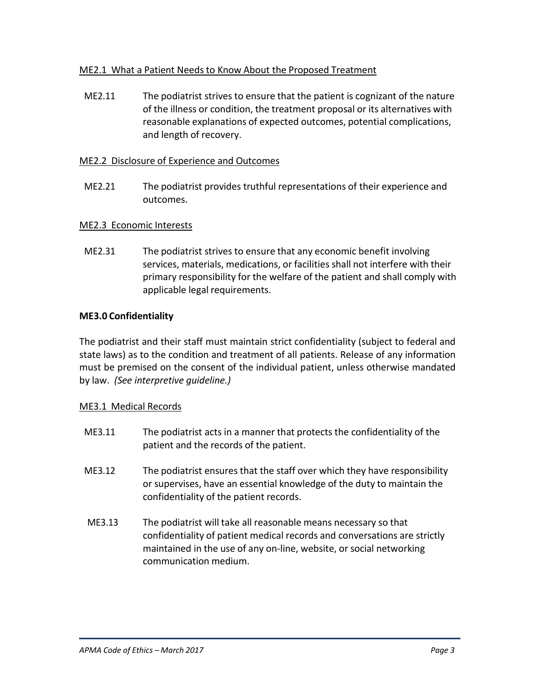# ME2.1 What a Patient Needs to Know About the Proposed Treatment

ME2.11 The podiatrist strives to ensure that the patient is cognizant of the nature of the illness or condition, the treatment proposal or its alternatives with reasonable explanations of expected outcomes, potential complications, and length of recovery.

# ME2.2 Disclosure of Experience and Outcomes

ME2.21 The podiatrist provides truthful representations of their experience and outcomes.

# ME2.3 Economic Interests

ME2.31 The podiatrist strives to ensure that any economic benefit involving services, materials, medications, or facilities shall not interfere with their primary responsibility for the welfare of the patient and shall comply with applicable legal requirements.

# **ME3.0 Confidentiality**

The podiatrist and their staff must maintain strict confidentiality (subject to federal and state laws) as to the condition and treatment of all patients. Release of any information must be premised on the consent of the individual patient, unless otherwise mandated by law. *(See interpretive guideline.)*

# ME3.1 Medical Records

- ME3.11 The podiatrist acts in a manner that protects the confidentiality of the patient and the records of the patient.
- ME3.12 The podiatrist ensures that the staff over which they have responsibility or supervises, have an essential knowledge of the duty to maintain the confidentiality of the patient records.
- ME3.13 The podiatrist will take all reasonable means necessary so that confidentiality of patient medical records and conversations are strictly maintained in the use of any on-line, website, or social networking communication medium.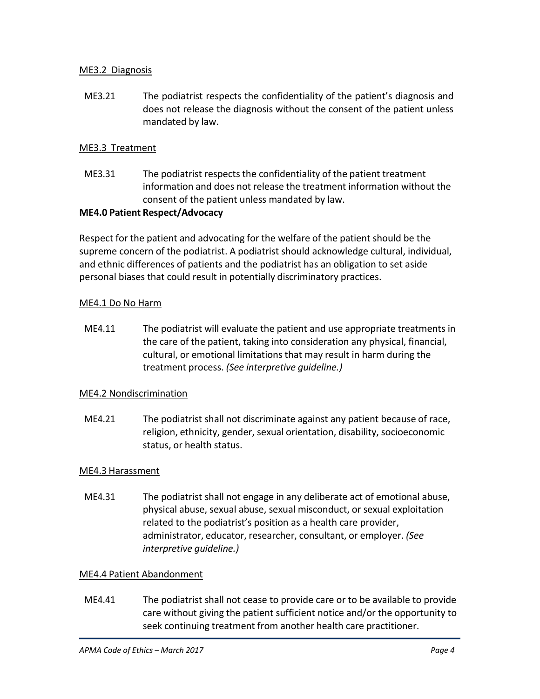# ME3.2 Diagnosis

ME3.21 The podiatrist respects the confidentiality of the patient's diagnosis and does not release the diagnosis without the consent of the patient unless mandated by law.

# ME3.3 Treatment

ME3.31 The podiatrist respects the confidentiality of the patient treatment information and does not release the treatment information without the consent of the patient unless mandated by law.

#### **ME4.0 Patient Respect/Advocacy**

Respect for the patient and advocating for the welfare of the patient should be the supreme concern of the podiatrist. A podiatrist should acknowledge cultural, individual, and ethnic differences of patients and the podiatrist has an obligation to set aside personal biases that could result in potentially discriminatory practices.

# ME4.1 Do No Harm

ME4.11 The podiatrist will evaluate the patient and use appropriate treatments in the care of the patient, taking into consideration any physical, financial, cultural, or emotional limitationsthat may result in harm during the treatment process. *(See interpretive guideline.)*

# ME4.2 Nondiscrimination

ME4.21 The podiatrist shall not discriminate against any patient because of race, religion, ethnicity, gender, sexual orientation, disability, socioeconomic status, or health status.

# ME4.3 Harassment

ME4.31 The podiatrist shall not engage in any deliberate act of emotional abuse, physical abuse, sexual abuse, sexual misconduct, or sexual exploitation related to the podiatrist's position as a health care provider, administrator, educator, researcher, consultant, or employer. *(See interpretive guideline.)*

# ME4.4 Patient Abandonment

ME4.41 The podiatrist shall not cease to provide care or to be available to provide care without giving the patient sufficient notice and/or the opportunity to seek continuing treatment from another health care practitioner.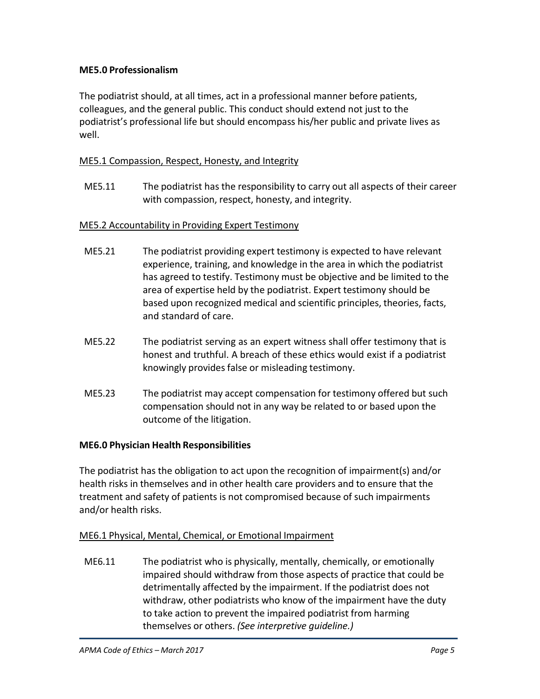# **ME5.0 Professionalism**

The podiatrist should, at all times, act in a professional manner before patients, colleagues, and the general public. This conduct should extend not just to the podiatrist's professional life but should encompass his/her public and private lives as well.

# ME5.1 Compassion, Respect, Honesty, and Integrity

ME5.11 The podiatrist has the responsibility to carry out all aspects of their career with compassion, respect, honesty, and integrity.

# ME5.2 Accountability in Providing Expert Testimony

- ME5.21 The podiatrist providing expert testimony is expected to have relevant experience, training, and knowledge in the area in which the podiatrist has agreed to testify. Testimony must be objective and be limited to the area of expertise held by the podiatrist. Expert testimony should be based upon recognized medical and scientific principles, theories, facts, and standard of care.
- ME5.22 The podiatrist serving as an expert witness shall offer testimony that is honest and truthful. A breach of these ethics would exist if a podiatrist knowingly provides false or misleading testimony.
- ME5.23 The podiatrist may accept compensation for testimony offered but such compensation should not in any way be related to or based upon the outcome of the litigation.

# **ME6.0 Physician Health Responsibilities**

The podiatrist has the obligation to act upon the recognition of impairment(s) and/or health risks in themselves and in other health care providers and to ensure that the treatment and safety of patients is not compromised because of such impairments and/or health risks.

# ME6.1 Physical, Mental, Chemical, or Emotional Impairment

ME6.11 The podiatrist who is physically, mentally, chemically, or emotionally impaired should withdraw from those aspects of practice that could be detrimentally affected by the impairment. If the podiatrist does not withdraw, other podiatrists who know of the impairment have the duty to take action to prevent the impaired podiatrist from harming themselves or others. *(See interpretive guideline.)*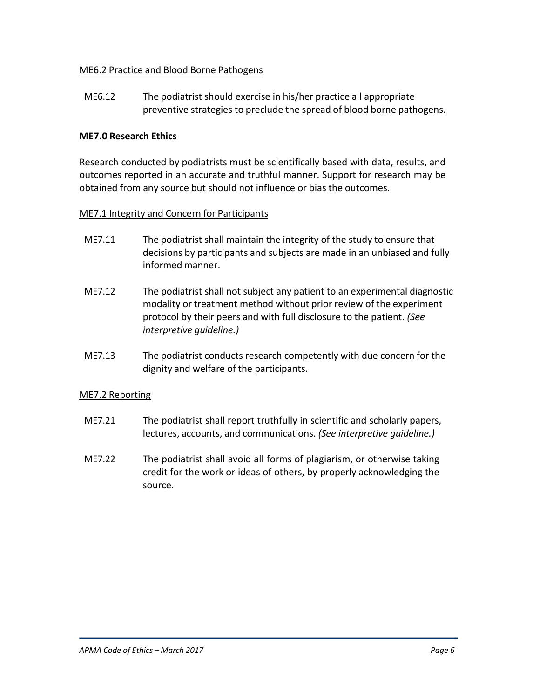# ME6.2 Practice and Blood Borne Pathogens

ME6.12 The podiatrist should exercise in his/her practice all appropriate preventive strategies to preclude the spread of blood borne pathogens.

# **ME7.0 Research Ethics**

Research conducted by podiatrists must be scientifically based with data, results, and outcomes reported in an accurate and truthful manner. Support for research may be obtained from any source but should not influence or bias the outcomes.

# ME7.1 Integrity and Concern for Participants

- ME7.11 The podiatrist shall maintain the integrity of the study to ensure that decisions by participants and subjects are made in an unbiased and fully informed manner.
- ME7.12 The podiatrist shall not subject any patient to an experimental diagnostic modality or treatment method without prior review of the experiment protocol by their peers and with full disclosure to the patient. *(See interpretive guideline.)*
- ME7.13 The podiatrist conducts research competently with due concern for the dignity and welfare of the participants.

# ME7.2 Reporting

- ME7.21 The podiatrist shall report truthfully in scientific and scholarly papers, lectures, accounts, and communications. *(See interpretive guideline.)*
- ME7.22 The podiatrist shall avoid all forms of plagiarism, or otherwise taking credit for the work or ideas of others, by properly acknowledging the source.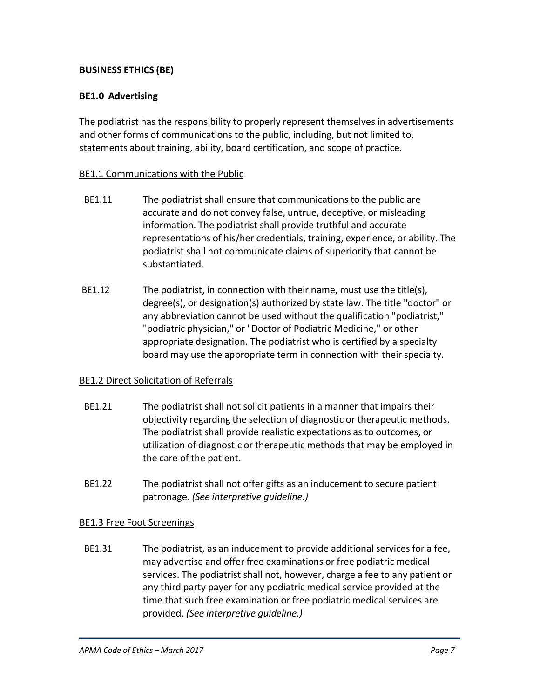# **BUSINESS ETHICS (BE)**

# **BE1.0 Advertising**

The podiatrist has the responsibility to properly represent themselves in advertisements and other forms of communications to the public, including, but not limited to, statements about training, ability, board certification, and scope of practice.

#### BE1.1 Communications with the Public

- BE1.11 The podiatrist shall ensure that communications to the public are accurate and do not convey false, untrue, deceptive, or misleading information. The podiatrist shall provide truthful and accurate representations of his/her credentials, training, experience, or ability. The podiatrist shall not communicate claims of superiority that cannot be substantiated.
- BE1.12 The podiatrist, in connection with their name, must use the title(s), degree(s), or designation(s) authorized by state law. The title "doctor" or any abbreviation cannot be used without the qualification "podiatrist," "podiatric physician," or "Doctor of Podiatric Medicine," or other appropriate designation. The podiatrist who is certified by a specialty board may use the appropriate term in connection with their specialty.

# BE1.2 Direct Solicitation of Referrals

- BE1.21 The podiatrist shall not solicit patients in a manner that impairs their objectivity regarding the selection of diagnostic or therapeutic methods. The podiatrist shall provide realistic expectations as to outcomes, or utilization of diagnostic or therapeutic methods that may be employed in the care of the patient.
- BE1.22 The podiatrist shall not offer gifts as an inducement to secure patient patronage. *(See interpretive guideline.)*

# BE1.3 Free Foot Screenings

BE1.31 The podiatrist, as an inducement to provide additional services for a fee, may advertise and offer free examinations or free podiatric medical services. The podiatrist shall not, however, charge a fee to any patient or any third party payer for any podiatric medical service provided at the time that such free examination or free podiatric medical services are provided. *(See interpretive guideline.)*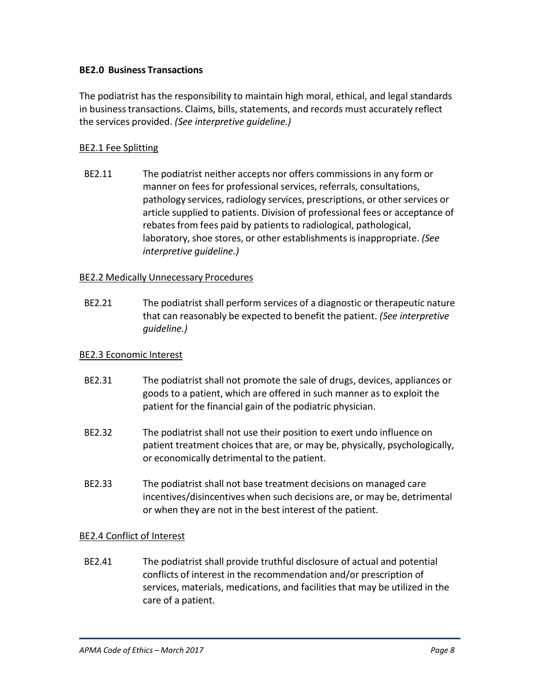# **BE2.0 Business Transactions**

The podiatrist has the responsibility to maintain high moral, ethical, and legal standards in businesstransactions. Claims, bills, statements, and records must accurately reflect the services provided. *(See interpretive guideline.)*

# BE2.1 Fee Splitting

BE2.11 The podiatrist neither accepts nor offers commissions in any form or manner on fees for professional services, referrals, consultations, pathology services, radiology services, prescriptions, or other services or article supplied to patients. Division of professional fees or acceptance of rebates from fees paid by patients to radiological, pathological, laboratory, shoe stores, or other establishments isinappropriate. *(See interpretive guideline.)*

# BE2.2 Medically Unnecessary Procedures

BE2.21 The podiatrist shall perform services of a diagnostic or therapeutic nature that can reasonably be expected to benefit the patient. *(See interpretive guideline.)*

#### BE2.3 Economic Interest

- BE2.31 The podiatrist shall not promote the sale of drugs, devices, appliances or goods to a patient, which are offered in such manner as to exploit the patient for the financial gain of the podiatric physician.
- BE2.32 The podiatrist shall not use their position to exert undo influence on patient treatment choices that are, or may be, physically, psychologically, or economically detrimental to the patient.
- BE2.33 The podiatrist shall not base treatment decisions on managed care incentives/disincentives when such decisions are, or may be, detrimental or when they are not in the best interest of the patient.

# BE2.4 Conflict of Interest

BE2.41 The podiatrist shall provide truthful disclosure of actual and potential conflicts of interest in the recommendation and/or prescription of services, materials, medications, and facilities that may be utilized in the care of a patient.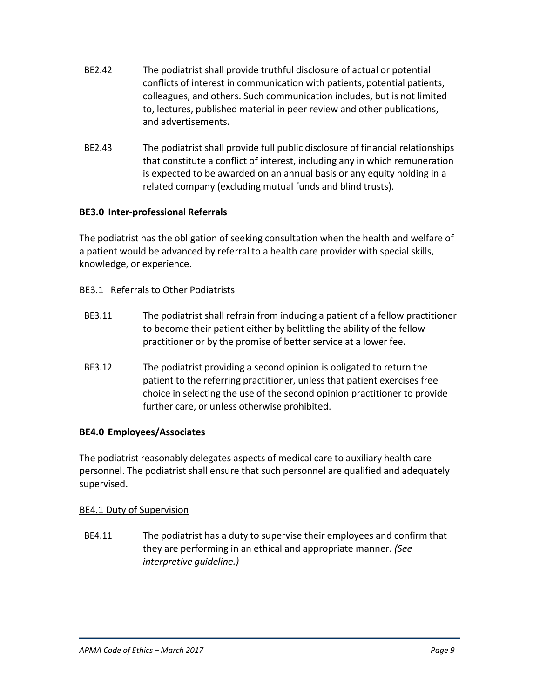- BE2.42 The podiatrist shall provide truthful disclosure of actual or potential conflicts of interest in communication with patients, potential patients, colleagues, and others. Such communication includes, but is not limited to, lectures, published material in peer review and other publications, and advertisements.
- BE2.43 The podiatrist shall provide full public disclosure of financial relationships that constitute a conflict of interest, including any in which remuneration is expected to be awarded on an annual basis or any equity holding in a related company (excluding mutual funds and blind trusts).

# **BE3.0 Inter-professional Referrals**

The podiatrist has the obligation of seeking consultation when the health and welfare of a patient would be advanced by referral to a health care provider with special skills, knowledge, or experience.

# BE3.1 Referrals to Other Podiatrists

- BE3.11 The podiatrist shall refrain from inducing a patient of a fellow practitioner to become their patient either by belittling the ability of the fellow practitioner or by the promise of better service at a lower fee.
- BE3.12 The podiatrist providing a second opinion is obligated to return the patient to the referring practitioner, unless that patient exercises free choice in selecting the use of the second opinion practitioner to provide further care, or unless otherwise prohibited.

# **BE4.0 Employees/Associates**

The podiatrist reasonably delegates aspects of medical care to auxiliary health care personnel. The podiatrist shall ensure that such personnel are qualified and adequately supervised.

# BE4.1 Duty of Supervision

BE4.11 The podiatrist has a duty to supervise their employees and confirm that they are performing in an ethical and appropriate manner. *(See interpretive guideline.)*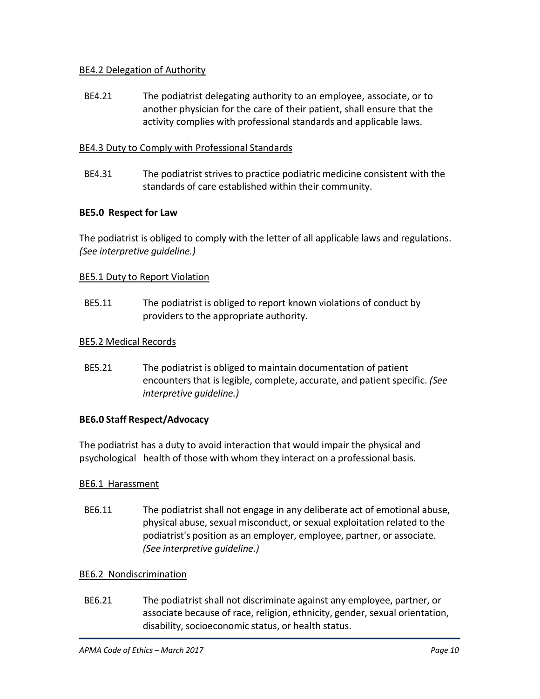# BE4.2 Delegation of Authority

BE4.21 The podiatrist delegating authority to an employee, associate, or to another physician for the care of their patient, shall ensure that the activity complies with professional standards and applicable laws.

# BE4.3 Duty to Comply with Professional Standards

BE4.31 The podiatrist strives to practice podiatric medicine consistent with the standards of care established within their community.

# **BE5.0 Respect for Law**

The podiatrist is obliged to comply with the letter of all applicable laws and regulations. *(See interpretive guideline.)*

# BE5.1 Duty to Report Violation

BE5.11 The podiatrist is obliged to report known violations of conduct by providers to the appropriate authority.

# BE5.2 Medical Records

BE5.21 The podiatrist is obliged to maintain documentation of patient encounters that is legible, complete, accurate, and patient specific. *(See interpretive guideline.)*

# **BE6.0 Staff Respect/Advocacy**

The podiatrist has a duty to avoid interaction that would impair the physical and psychological health of those with whom they interact on a professional basis.

# BE6.1 Harassment

BE6.11 The podiatrist shall not engage in any deliberate act of emotional abuse, physical abuse, sexual misconduct, or sexual exploitation related to the podiatrist's position as an employer, employee, partner, or associate. *(See interpretive guideline.)*

# BE6.2 Nondiscrimination

BE6.21 The podiatrist shall not discriminate against any employee, partner, or associate because of race, religion, ethnicity, gender, sexual orientation, disability, socioeconomic status, or health status.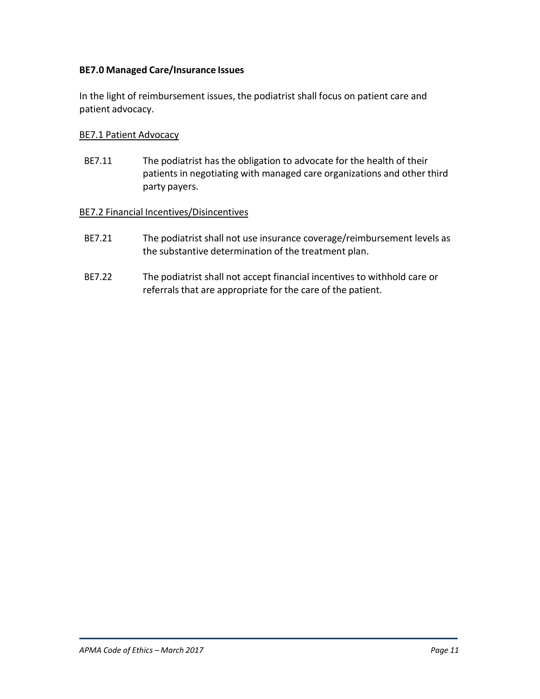# **BE7.0 Managed Care/Insurance Issues**

In the light of reimbursement issues, the podiatrist shall focus on patient care and patient advocacy.

#### BE7.1 Patient Advocacy

BE7.11 The podiatrist has the obligation to advocate for the health of their patients in negotiating with managed care organizations and other third party payers.

#### BE7.2 Financial Incentives/Disincentives

- BE7.21 The podiatrist shall not use insurance coverage/reimbursement levels as the substantive determination of the treatment plan.
- BE7.22 The podiatrist shall not accept financial incentives to withhold care or referrals that are appropriate for the care of the patient.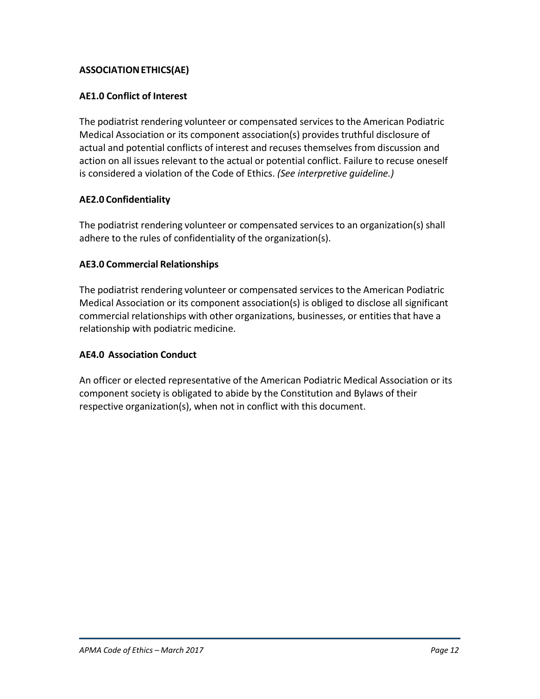# **ASSOCIATIONETHICS(AE)**

# **AE1.0 Conflict of Interest**

The podiatrist rendering volunteer or compensated services to the American Podiatric Medical Association or its component association(s) provides truthful disclosure of actual and potential conflicts of interest and recuses themselves from discussion and action on all issues relevant to the actual or potential conflict. Failure to recuse oneself is considered a violation of the Code of Ethics. *(See interpretive guideline.)*

# **AE2.0 Confidentiality**

The podiatrist rendering volunteer or compensated services to an organization(s) shall adhere to the rules of confidentiality of the organization(s).

# **AE3.0 Commercial Relationships**

The podiatrist rendering volunteer or compensated services to the American Podiatric Medical Association or its component association(s) is obliged to disclose all significant commercial relationships with other organizations, businesses, or entities that have a relationship with podiatric medicine.

# **AE4.0 Association Conduct**

An officer or elected representative of the American Podiatric Medical Association or its component society is obligated to abide by the Constitution and Bylaws of their respective organization(s), when not in conflict with this document.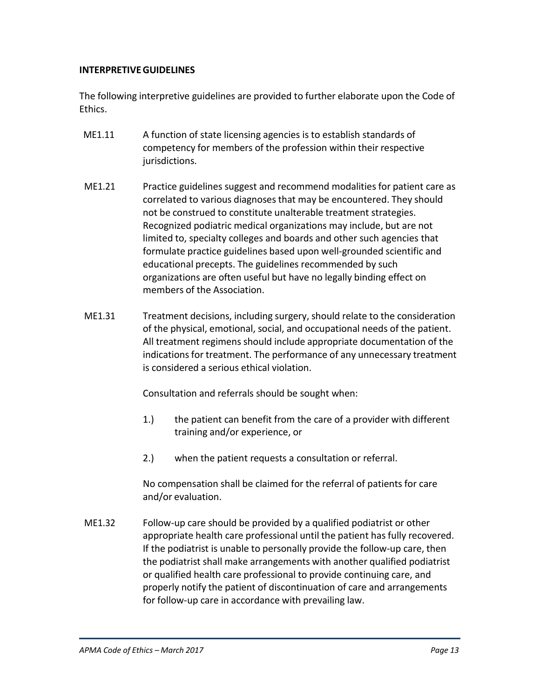# **INTERPRETIVEGUIDELINES**

The following interpretive guidelines are provided to further elaborate upon the Code of Ethics.

- ME1.11 A function of state licensing agencies is to establish standards of competency for members of the profession within their respective jurisdictions.
- ME1.21 Practice guidelines suggest and recommend modalitiesfor patient care as correlated to various diagnosesthat may be encountered. They should not be construed to constitute unalterable treatment strategies. Recognized podiatric medical organizations may include, but are not limited to, specialty colleges and boards and other such agencies that formulate practice guidelines based upon well-grounded scientific and educational precepts. The guidelines recommended by such organizations are often useful but have no legally binding effect on members of the Association.
- ME1.31 Treatment decisions, including surgery, should relate to the consideration of the physical, emotional, social, and occupational needs of the patient. All treatment regimens should include appropriate documentation of the indications for treatment. The performance of any unnecessary treatment is considered a serious ethical violation.

Consultation and referrals should be sought when:

- 1.) the patient can benefit from the care of a provider with different training and/or experience, or
- 2.) when the patient requests a consultation or referral.

No compensation shall be claimed for the referral of patients for care and/or evaluation.

ME1.32 Follow-up care should be provided by a qualified podiatrist or other appropriate health care professional until the patient has fully recovered. If the podiatrist is unable to personally provide the follow-up care, then the podiatrist shall make arrangements with another qualified podiatrist or qualified health care professional to provide continuing care, and properly notify the patient of discontinuation of care and arrangements for follow-up care in accordance with prevailing law.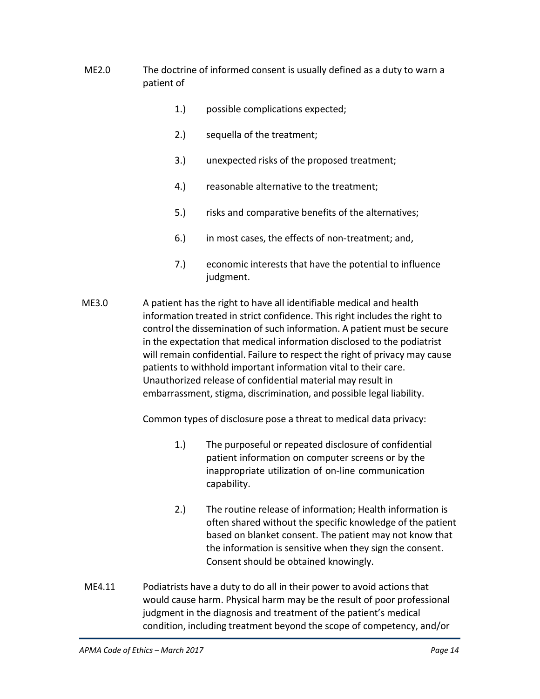- ME2.0 The doctrine of informed consent is usually defined as a duty to warn a patient of
	- 1.) possible complications expected;
	- 2.) sequella of the treatment;
	- 3.) unexpected risks of the proposed treatment;
	- 4.) reasonable alternative to the treatment;
	- 5.) risks and comparative benefits of the alternatives;
	- 6.) in most cases, the effects of non-treatment; and,
	- 7.) economic interests that have the potential to influence judgment.
- ME3.0 A patient has the right to have all identifiable medical and health information treated in strict confidence. This right includes the right to control the dissemination of such information. A patient must be secure in the expectation that medical information disclosed to the podiatrist will remain confidential. Failure to respect the right of privacy may cause patients to withhold important information vital to their care. Unauthorized release of confidential material may result in embarrassment, stigma, discrimination, and possible legal liability.

Common types of disclosure pose a threat to medical data privacy:

- 1.) The purposeful or repeated disclosure of confidential patient information on computer screens or by the inappropriate utilization of on-line communication capability.
- 2.) The routine release of information; Health information is often shared without the specific knowledge of the patient based on blanket consent. The patient may not know that the information is sensitive when they sign the consent. Consent should be obtained knowingly.
- ME4.11 Podiatrists have a duty to do all in their power to avoid actions that would cause harm. Physical harm may be the result of poor professional judgment in the diagnosis and treatment of the patient's medical condition, including treatment beyond the scope of competency, and/or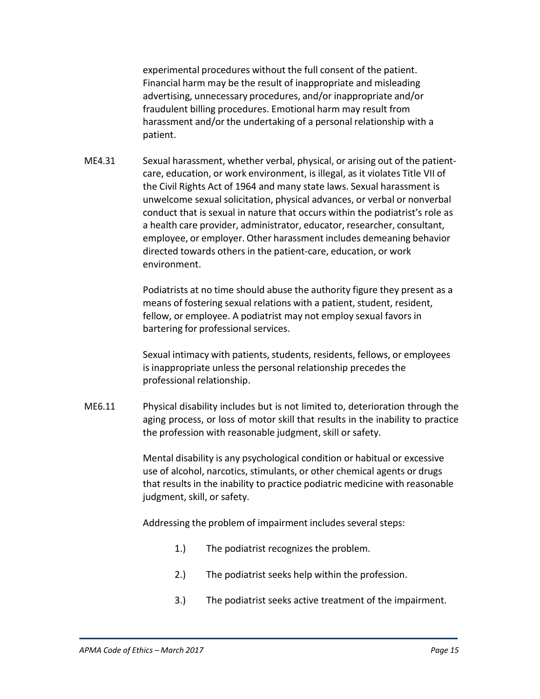experimental procedures without the full consent of the patient. Financial harm may be the result of inappropriate and misleading advertising, unnecessary procedures, and/or inappropriate and/or fraudulent billing procedures. Emotional harm may result from harassment and/or the undertaking of a personal relationship with a patient.

ME4.31 Sexual harassment, whether verbal, physical, or arising out of the patientcare, education, or work environment, is illegal, as it violates Title VII of the Civil Rights Act of 1964 and many state laws. Sexual harassment is unwelcome sexual solicitation, physical advances, or verbal or nonverbal conduct that is sexual in nature that occurs within the podiatrist's role as a health care provider, administrator, educator, researcher, consultant, employee, or employer. Other harassment includes demeaning behavior directed towards others in the patient-care, education, or work environment.

> Podiatrists at no time should abuse the authority figure they present as a means of fostering sexual relations with a patient, student, resident, fellow, or employee. A podiatrist may not employ sexual favors in bartering for professional services.

> Sexual intimacy with patients, students, residents, fellows, or employees is inappropriate unless the personal relationship precedes the professional relationship.

ME6.11 Physical disability includes but is not limited to, deterioration through the aging process, or loss of motor skill that results in the inability to practice the profession with reasonable judgment, skill or safety.

> Mental disability is any psychological condition or habitual or excessive use of alcohol, narcotics, stimulants, or other chemical agents or drugs that results in the inability to practice podiatric medicine with reasonable judgment, skill, or safety.

Addressing the problem of impairment includes several steps:

- 1.) The podiatrist recognizes the problem.
- 2.) The podiatrist seeks help within the profession.
- 3.) The podiatrist seeks active treatment of the impairment.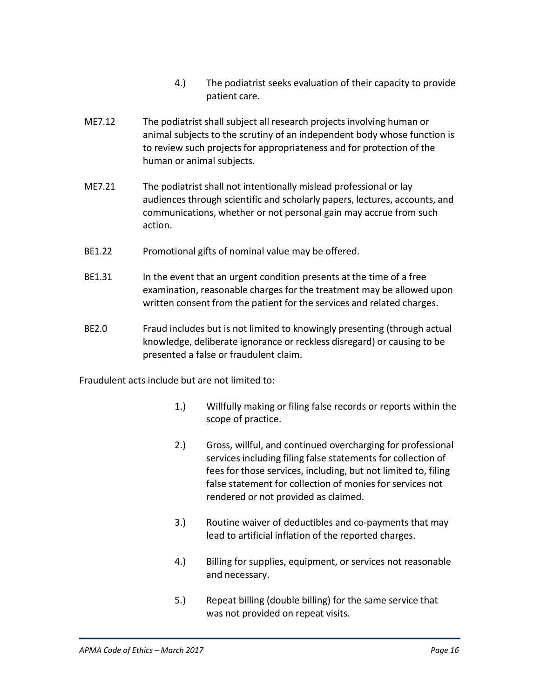- 4.) The podiatrist seeks evaluation of their capacity to provide patient care.
- ME7.12 The podiatrist shall subject all research projects involving human or animal subjects to the scrutiny of an independent body whose function is to review such projects for appropriateness and for protection of the human or animal subjects.
- ME7.21 The podiatrist shall not intentionally mislead professional or lay audiences through scientific and scholarly papers, lectures, accounts, and communications, whether or not personal gain may accrue from such action.
- BE1.22 Promotional gifts of nominal value may be offered.
- BE1.31 In the event that an urgent condition presents at the time of a free examination, reasonable charges for the treatment may be allowed upon written consent from the patient for the services and related charges.
- BE2.0 Fraud includes but is not limited to knowingly presenting (through actual knowledge, deliberate ignorance or reckless disregard) or causing to be presented a false or fraudulent claim.

Fraudulent acts include but are not limited to:

- 1.) Willfully making or filing false records or reports within the scope of practice.
- 2.) Gross, willful, and continued overcharging for professional services including filing false statements for collection of fees for those services, including, but not limited to, filing false statement for collection of monies for services not rendered or not provided as claimed.
- 3.) Routine waiver of deductibles and co-payments that may lead to artificial inflation of the reported charges.
- 4.) Billing for supplies, equipment, or services not reasonable and necessary.
- 5.) Repeat billing (double billing) for the same service that was not provided on repeat visits.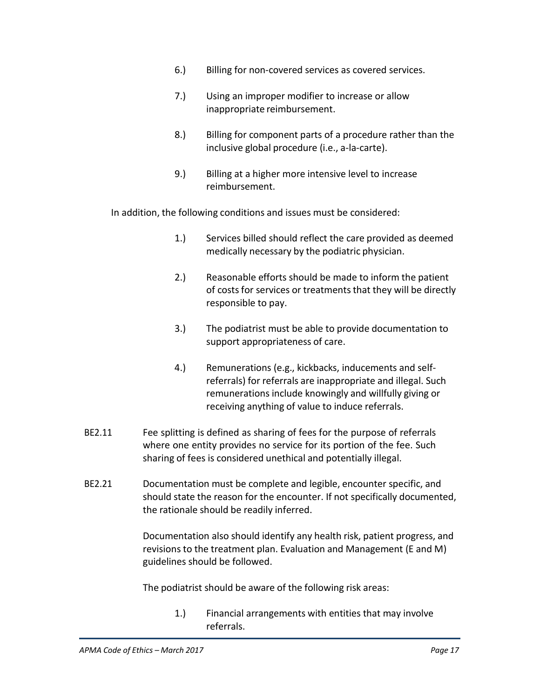- 6.) Billing for non-covered services as covered services.
- 7.) Using an improper modifier to increase or allow inappropriate reimbursement.
- 8.) Billing for component parts of a procedure rather than the inclusive global procedure (i.e., a-la-carte).
- 9.) Billing at a higher more intensive level to increase reimbursement.

In addition, the following conditions and issues must be considered:

- 1.) Services billed should reflect the care provided as deemed medically necessary by the podiatric physician.
- 2.) Reasonable efforts should be made to inform the patient of costs for services or treatments that they will be directly responsible to pay.
- 3.) The podiatrist must be able to provide documentation to support appropriateness of care.
- 4.) Remunerations (e.g., kickbacks, inducements and selfreferrals) for referrals are inappropriate and illegal. Such remunerations include knowingly and willfully giving or receiving anything of value to induce referrals.
- BE2.11 Fee splitting is defined as sharing of fees for the purpose of referrals where one entity provides no service for its portion of the fee. Such sharing of fees is considered unethical and potentially illegal.
- BE2.21 Documentation must be complete and legible, encounter specific, and should state the reason for the encounter. If not specifically documented, the rationale should be readily inferred.

Documentation also should identify any health risk, patient progress, and revisions to the treatment plan. Evaluation and Management (E and M) guidelines should be followed.

The podiatrist should be aware of the following risk areas:

1.) Financial arrangements with entities that may involve referrals.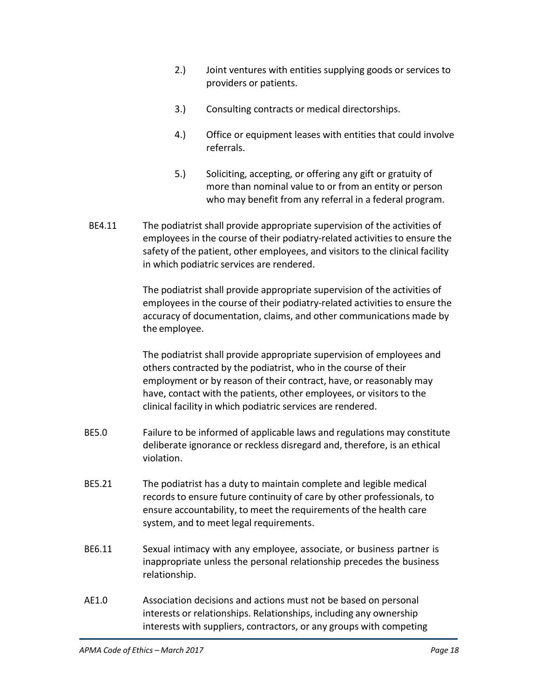- 2.) Joint ventures with entities supplying goods or services to providers or patients.
- 3.) Consulting contracts or medical directorships.
- 4.) Office or equipment leases with entities that could involve referrals.
- 5.) Soliciting, accepting, or offering any gift or gratuity of more than nominal value to or from an entity or person who may benefit from any referral in a federal program.
- BE4.11 The podiatrist shall provide appropriate supervision of the activities of employees in the course of their podiatry-related activities to ensure the safety of the patient, other employees, and visitors to the clinical facility in which podiatric services are rendered.

The podiatrist shall provide appropriate supervision of the activities of employees in the course of their podiatry-related activities to ensure the accuracy of documentation, claims, and other communications made by the employee.

The podiatrist shall provide appropriate supervision of employees and others contracted by the podiatrist, who in the course of their employment or by reason of their contract, have, or reasonably may have, contact with the patients, other employees, or visitors to the clinical facility in which podiatric services are rendered.

- BE5.0 Failure to be informed of applicable laws and regulations may constitute deliberate ignorance or reckless disregard and, therefore, is an ethical violation.
- BE5.21 The podiatrist has a duty to maintain complete and legible medical records to ensure future continuity of care by other professionals, to ensure accountability, to meet the requirements of the health care system, and to meet legal requirements.
- BE6.11 Sexual intimacy with any employee, associate, or business partner is inappropriate unless the personal relationship precedes the business relationship.
- AE1.0 Association decisions and actions must not be based on personal interests or relationships. Relationships, including any ownership interests with suppliers, contractors, or any groups with competing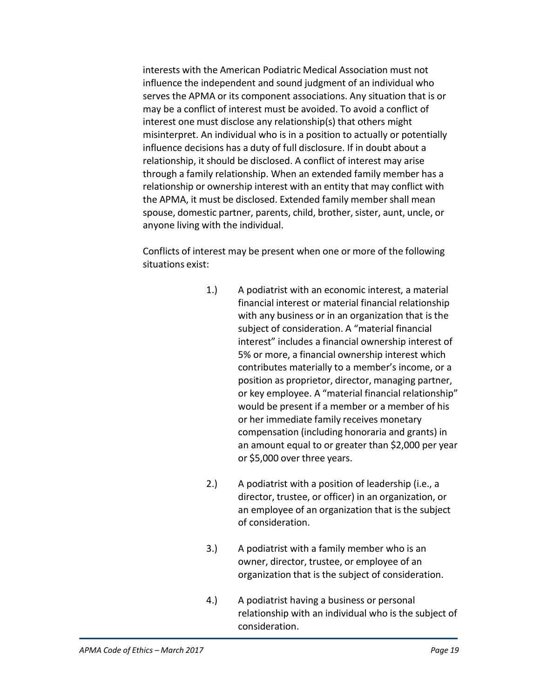interests with the American Podiatric Medical Association must not influence the independent and sound judgment of an individual who serves the APMA or its component associations. Any situation that is or may be a conflict of interest must be avoided. To avoid a conflict of interest one must disclose any relationship(s) that others might misinterpret. An individual who is in a position to actually or potentially influence decisions has a duty of full disclosure. If in doubt about a relationship, it should be disclosed. A conflict of interest may arise through a family relationship. When an extended family member has a relationship or ownership interest with an entity that may conflict with the APMA, it must be disclosed. Extended family member shall mean spouse, domestic partner, parents, child, brother, sister, aunt, uncle, or anyone living with the individual.

Conflicts of interest may be present when one or more of the following situations exist:

- 1.) A podiatrist with an economic interest, a material financial interest or material financial relationship with any business or in an organization that is the subject of consideration. A "material financial interest" includes a financial ownership interest of 5% or more, a financial ownership interest which contributes materially to a member's income, or a position as proprietor, director, managing partner, or key employee. A "material financial relationship" would be present if a member or a member of his or her immediate family receives monetary compensation (including honoraria and grants) in an amount equal to or greater than \$2,000 per year or \$5,000 over three years.
- 2.) A podiatrist with a position of leadership (i.e., a director, trustee, or officer) in an organization, or an employee of an organization that is the subject of consideration.
- 3.) A podiatrist with a family member who is an owner, director, trustee, or employee of an organization that is the subject of consideration.
- 4.) A podiatrist having a business or personal relationship with an individual who is the subject of consideration.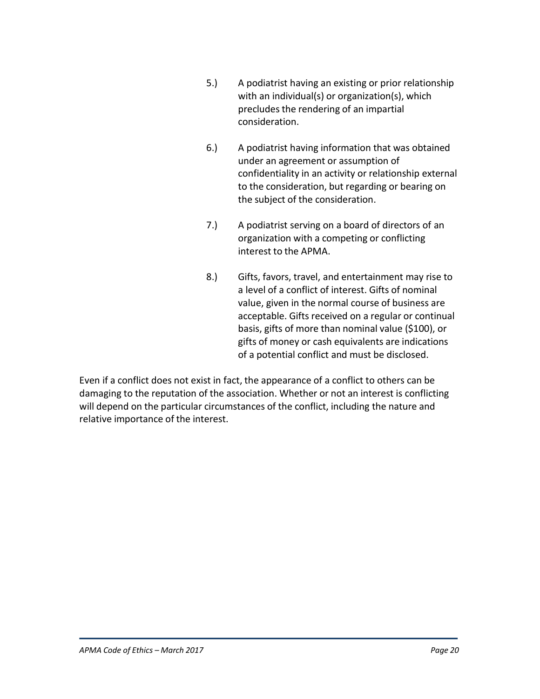- 5.) A podiatrist having an existing or prior relationship with an individual(s) or organization(s), which precludes the rendering of an impartial consideration.
- 6.) A podiatrist having information that was obtained under an agreement or assumption of confidentiality in an activity or relationship external to the consideration, but regarding or bearing on the subject of the consideration.
- 7.) A podiatrist serving on a board of directors of an organization with a competing or conflicting interest to the APMA.
- 8.) Gifts, favors, travel, and entertainment may rise to a level of a conflict of interest. Gifts of nominal value, given in the normal course of business are acceptable. Gifts received on a regular or continual basis, gifts of more than nominal value (\$100), or gifts of money or cash equivalents are indications of a potential conflict and must be disclosed.

Even if a conflict does not exist in fact, the appearance of a conflict to others can be damaging to the reputation of the association. Whether or not an interest is conflicting will depend on the particular circumstances of the conflict, including the nature and relative importance of the interest.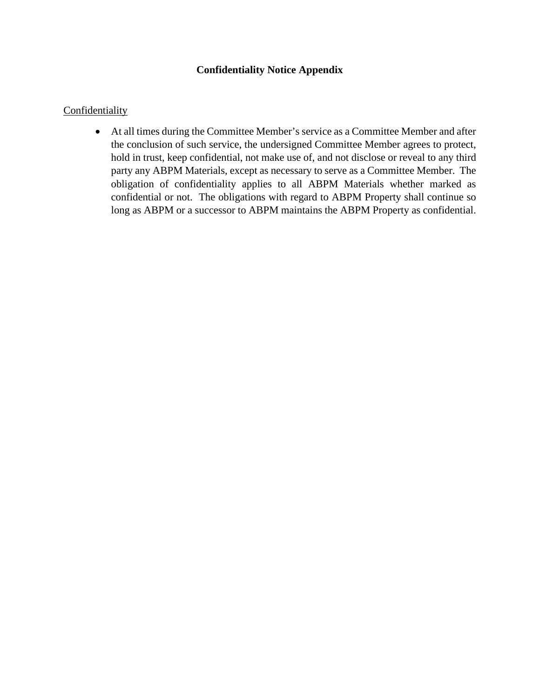# **Confidentiality Notice Appendix**

#### **Confidentiality**

• At all times during the Committee Member's service as a Committee Member and after the conclusion of such service, the undersigned Committee Member agrees to protect, hold in trust, keep confidential, not make use of, and not disclose or reveal to any third party any ABPM Materials, except as necessary to serve as a Committee Member. The obligation of confidentiality applies to all ABPM Materials whether marked as confidential or not. The obligations with regard to ABPM Property shall continue so long as ABPM or a successor to ABPM maintains the ABPM Property as confidential.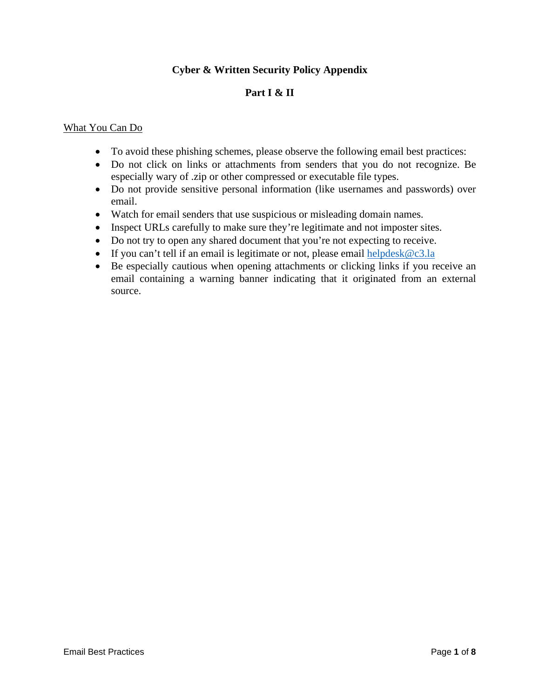# **Cyber & Written Security Policy Appendix**

# **Part I & II**

#### What You Can Do

- To avoid these phishing schemes, please observe the following email best practices:
- Do not click on links or attachments from senders that you do not recognize. Be especially wary of .zip or other compressed or executable file types.
- Do not provide sensitive personal information (like usernames and passwords) over email.
- Watch for email senders that use suspicious or misleading domain names.
- Inspect URLs carefully to make sure they're legitimate and not imposter sites.
- Do not try to open any shared document that you're not expecting to receive.
- If you can't tell if an email is legitimate or not, please email helpdesk $@c3.la$
- Be especially cautious when opening attachments or clicking links if you receive an email containing a warning banner indicating that it originated from an external source.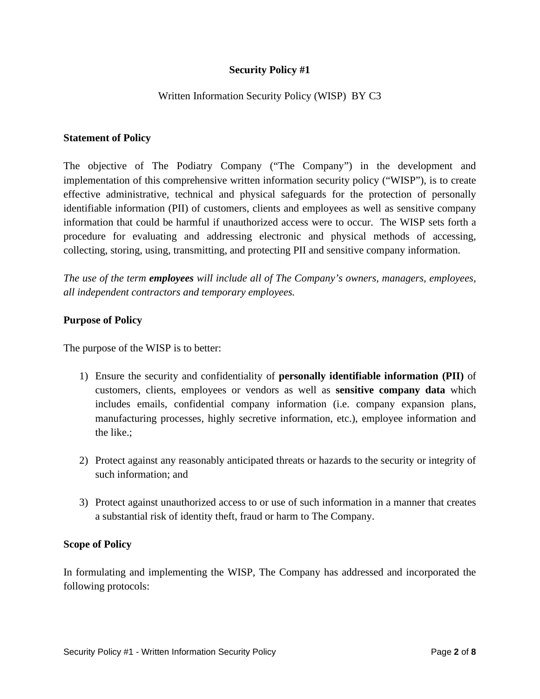# **Security Policy #1**

# Written Information Security Policy (WISP) BY C3

#### **Statement of Policy**

The objective of The Podiatry Company ("The Company") in the development and implementation of this comprehensive written information security policy ("WISP"), is to create effective administrative, technical and physical safeguards for the protection of personally identifiable information (PII) of customers, clients and employees as well as sensitive company information that could be harmful if unauthorized access were to occur. The WISP sets forth a procedure for evaluating and addressing electronic and physical methods of accessing, collecting, storing, using, transmitting, and protecting PII and sensitive company information.

*The use of the term employees will include all of The Company's owners, managers, employees, all independent contractors and temporary employees.* 

#### **Purpose of Policy**

The purpose of the WISP is to better:

- 1) Ensure the security and confidentiality of **personally identifiable information (PII)** of customers, clients, employees or vendors as well as **sensitive company data** which includes emails, confidential company information (i.e. company expansion plans, manufacturing processes, highly secretive information, etc.), employee information and the like.;
- 2) Protect against any reasonably anticipated threats or hazards to the security or integrity of such information; and
- 3) Protect against unauthorized access to or use of such information in a manner that creates a substantial risk of identity theft, fraud or harm to The Company.

#### **Scope of Policy**

In formulating and implementing the WISP, The Company has addressed and incorporated the following protocols: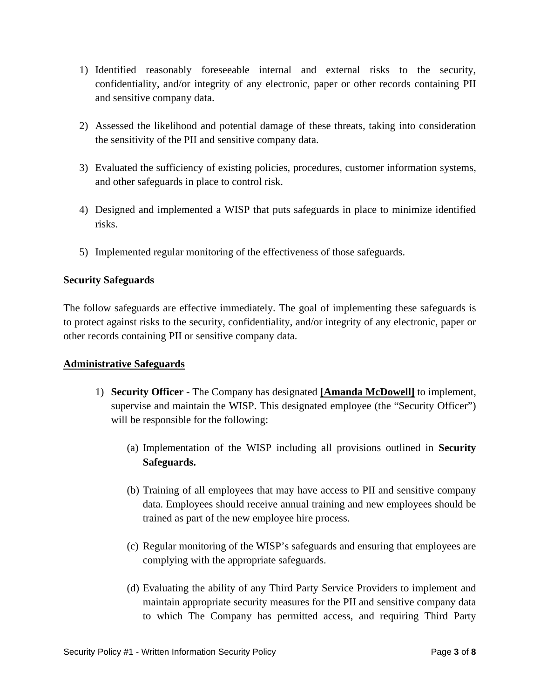- 1) Identified reasonably foreseeable internal and external risks to the security, confidentiality, and/or integrity of any electronic, paper or other records containing PII and sensitive company data.
- 2) Assessed the likelihood and potential damage of these threats, taking into consideration the sensitivity of the PII and sensitive company data.
- 3) Evaluated the sufficiency of existing policies, procedures, customer information systems, and other safeguards in place to control risk.
- 4) Designed and implemented a WISP that puts safeguards in place to minimize identified risks.
- 5) Implemented regular monitoring of the effectiveness of those safeguards.

# **Security Safeguards**

The follow safeguards are effective immediately. The goal of implementing these safeguards is to protect against risks to the security, confidentiality, and/or integrity of any electronic, paper or other records containing PII or sensitive company data.

# **Administrative Safeguards**

- 1) **Security Officer** The Company has designated **[Amanda McDowell]** to implement, supervise and maintain the WISP. This designated employee (the "Security Officer") will be responsible for the following:
	- (a) Implementation of the WISP including all provisions outlined in **Security Safeguards.**
	- (b) Training of all employees that may have access to PII and sensitive company data. Employees should receive annual training and new employees should be trained as part of the new employee hire process.
	- (c) Regular monitoring of the WISP's safeguards and ensuring that employees are complying with the appropriate safeguards.
	- (d) Evaluating the ability of any Third Party Service Providers to implement and maintain appropriate security measures for the PII and sensitive company data to which The Company has permitted access, and requiring Third Party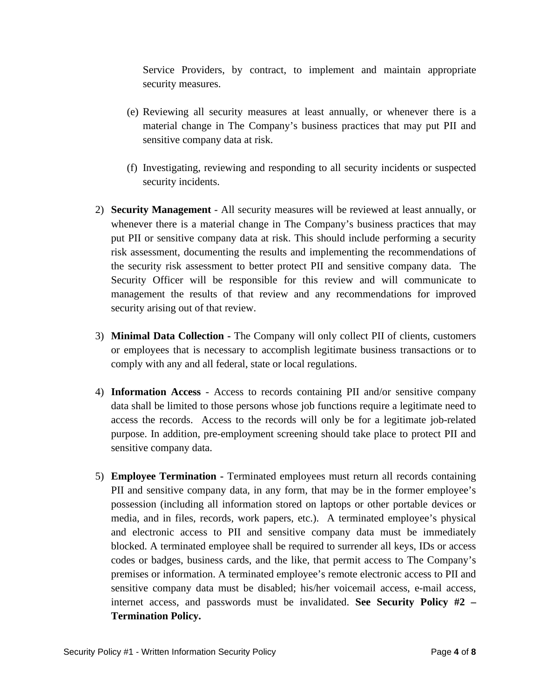Service Providers, by contract, to implement and maintain appropriate security measures.

- (e) Reviewing all security measures at least annually, or whenever there is a material change in The Company's business practices that may put PII and sensitive company data at risk.
- (f) Investigating, reviewing and responding to all security incidents or suspected security incidents.
- 2) **Security Management** All security measures will be reviewed at least annually, or whenever there is a material change in The Company's business practices that may put PII or sensitive company data at risk. This should include performing a security risk assessment, documenting the results and implementing the recommendations of the security risk assessment to better protect PII and sensitive company data. The Security Officer will be responsible for this review and will communicate to management the results of that review and any recommendations for improved security arising out of that review.
- 3) **Minimal Data Collection** The Company will only collect PII of clients, customers or employees that is necessary to accomplish legitimate business transactions or to comply with any and all federal, state or local regulations.
- 4) **Information Access** Access to records containing PII and/or sensitive company data shall be limited to those persons whose job functions require a legitimate need to access the records. Access to the records will only be for a legitimate job-related purpose. In addition, pre-employment screening should take place to protect PII and sensitive company data.
- 5) **Employee Termination** Terminated employees must return all records containing PII and sensitive company data, in any form, that may be in the former employee's possession (including all information stored on laptops or other portable devices or media, and in files, records, work papers, etc.). A terminated employee's physical and electronic access to PII and sensitive company data must be immediately blocked. A terminated employee shall be required to surrender all keys, IDs or access codes or badges, business cards, and the like, that permit access to The Company's premises or information. A terminated employee's remote electronic access to PII and sensitive company data must be disabled; his/her voicemail access, e-mail access, internet access, and passwords must be invalidated. **See Security Policy #2 – Termination Policy.**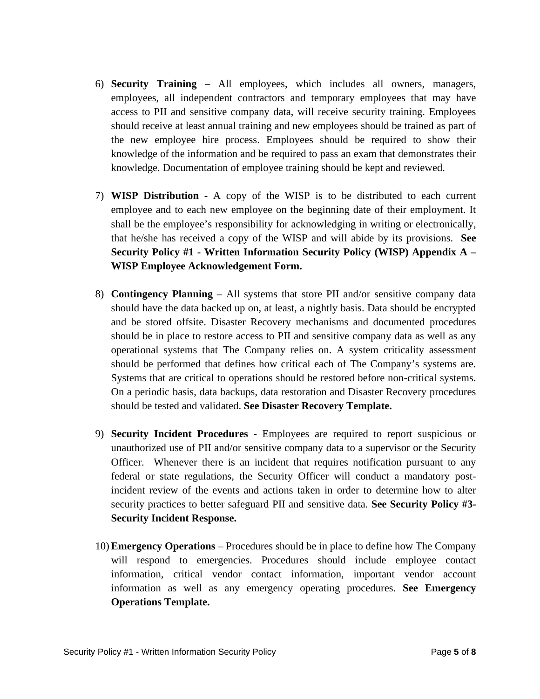- 6) **Security Training**  All employees, which includes all owners, managers, employees, all independent contractors and temporary employees that may have access to PII and sensitive company data, will receive security training. Employees should receive at least annual training and new employees should be trained as part of the new employee hire process. Employees should be required to show their knowledge of the information and be required to pass an exam that demonstrates their knowledge. Documentation of employee training should be kept and reviewed.
- 7) **WISP Distribution** A copy of the WISP is to be distributed to each current employee and to each new employee on the beginning date of their employment. It shall be the employee's responsibility for acknowledging in writing or electronically, that he/she has received a copy of the WISP and will abide by its provisions. **See Security Policy #1 - Written Information Security Policy (WISP) Appendix A – WISP Employee Acknowledgement Form.**
- 8) **Contingency Planning** All systems that store PII and/or sensitive company data should have the data backed up on, at least, a nightly basis. Data should be encrypted and be stored offsite. Disaster Recovery mechanisms and documented procedures should be in place to restore access to PII and sensitive company data as well as any operational systems that The Company relies on. A system criticality assessment should be performed that defines how critical each of The Company's systems are. Systems that are critical to operations should be restored before non-critical systems. On a periodic basis, data backups, data restoration and Disaster Recovery procedures should be tested and validated. **See Disaster Recovery Template.**
- 9) **Security Incident Procedures** Employees are required to report suspicious or unauthorized use of PII and/or sensitive company data to a supervisor or the Security Officer. Whenever there is an incident that requires notification pursuant to any federal or state regulations, the Security Officer will conduct a mandatory postincident review of the events and actions taken in order to determine how to alter security practices to better safeguard PII and sensitive data. **See Security Policy #3- Security Incident Response.**
- 10) **Emergency Operations** Procedures should be in place to define how The Company will respond to emergencies. Procedures should include employee contact information, critical vendor contact information, important vendor account information as well as any emergency operating procedures. **See Emergency Operations Template.**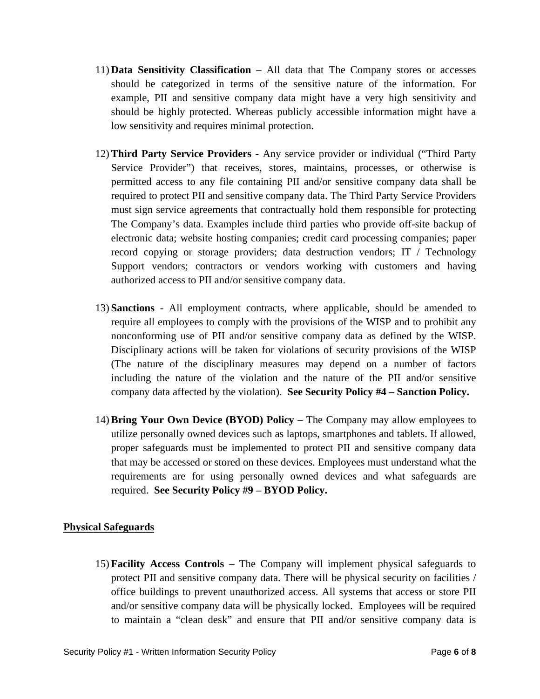- 11) **Data Sensitivity Classification** All data that The Company stores or accesses should be categorized in terms of the sensitive nature of the information. For example, PII and sensitive company data might have a very high sensitivity and should be highly protected. Whereas publicly accessible information might have a low sensitivity and requires minimal protection.
- 12) **Third Party Service Providers** Any service provider or individual ("Third Party Service Provider") that receives, stores, maintains, processes, or otherwise is permitted access to any file containing PII and/or sensitive company data shall be required to protect PII and sensitive company data. The Third Party Service Providers must sign service agreements that contractually hold them responsible for protecting The Company's data. Examples include third parties who provide off-site backup of electronic data; website hosting companies; credit card processing companies; paper record copying or storage providers; data destruction vendors; IT / Technology Support vendors; contractors or vendors working with customers and having authorized access to PII and/or sensitive company data.
- 13) **Sanctions** All employment contracts, where applicable, should be amended to require all employees to comply with the provisions of the WISP and to prohibit any nonconforming use of PII and/or sensitive company data as defined by the WISP. Disciplinary actions will be taken for violations of security provisions of the WISP (The nature of the disciplinary measures may depend on a number of factors including the nature of the violation and the nature of the PII and/or sensitive company data affected by the violation). **See Security Policy #4 – Sanction Policy.**
- 14) **Bring Your Own Device (BYOD) Policy** The Company may allow employees to utilize personally owned devices such as laptops, smartphones and tablets. If allowed, proper safeguards must be implemented to protect PII and sensitive company data that may be accessed or stored on these devices. Employees must understand what the requirements are for using personally owned devices and what safeguards are required. **See Security Policy #9 – BYOD Policy.**

# **Physical Safeguards**

15) **Facility Access Controls** – The Company will implement physical safeguards to protect PII and sensitive company data. There will be physical security on facilities / office buildings to prevent unauthorized access. All systems that access or store PII and/or sensitive company data will be physically locked. Employees will be required to maintain a "clean desk" and ensure that PII and/or sensitive company data is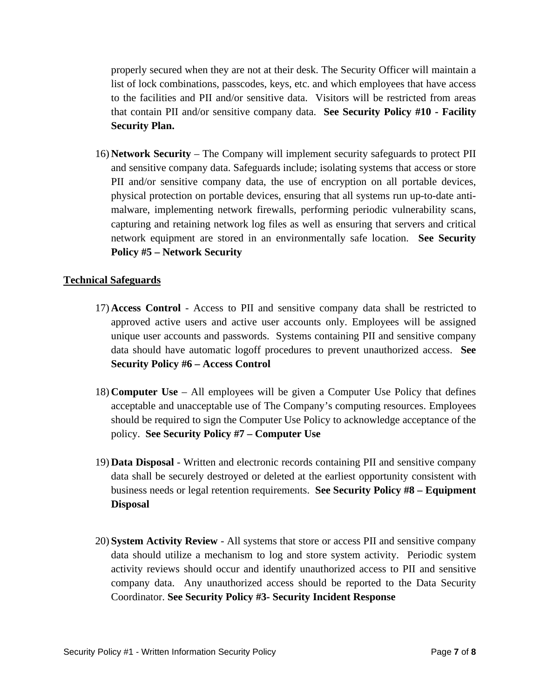properly secured when they are not at their desk. The Security Officer will maintain a list of lock combinations, passcodes, keys, etc. and which employees that have access to the facilities and PII and/or sensitive data. Visitors will be restricted from areas that contain PII and/or sensitive company data. **See Security Policy #10 - Facility Security Plan.**

16) **Network Security** – The Company will implement security safeguards to protect PII and sensitive company data. Safeguards include; isolating systems that access or store PII and/or sensitive company data, the use of encryption on all portable devices, physical protection on portable devices, ensuring that all systems run up-to-date antimalware, implementing network firewalls, performing periodic vulnerability scans, capturing and retaining network log files as well as ensuring that servers and critical network equipment are stored in an environmentally safe location. **See Security Policy #5 – Network Security**

# **Technical Safeguards**

- 17) **Access Control** Access to PII and sensitive company data shall be restricted to approved active users and active user accounts only. Employees will be assigned unique user accounts and passwords. Systems containing PII and sensitive company data should have automatic logoff procedures to prevent unauthorized access. **See Security Policy #6 – Access Control**
- 18) **Computer Use** All employees will be given a Computer Use Policy that defines acceptable and unacceptable use of The Company's computing resources. Employees should be required to sign the Computer Use Policy to acknowledge acceptance of the policy. **See Security Policy #7 – Computer Use**
- 19) **Data Disposal** Written and electronic records containing PII and sensitive company data shall be securely destroyed or deleted at the earliest opportunity consistent with business needs or legal retention requirements. **See Security Policy #8 – Equipment Disposal**
- 20) **System Activity Review** All systems that store or access PII and sensitive company data should utilize a mechanism to log and store system activity. Periodic system activity reviews should occur and identify unauthorized access to PII and sensitive company data. Any unauthorized access should be reported to the Data Security Coordinator. **See Security Policy #3- Security Incident Response**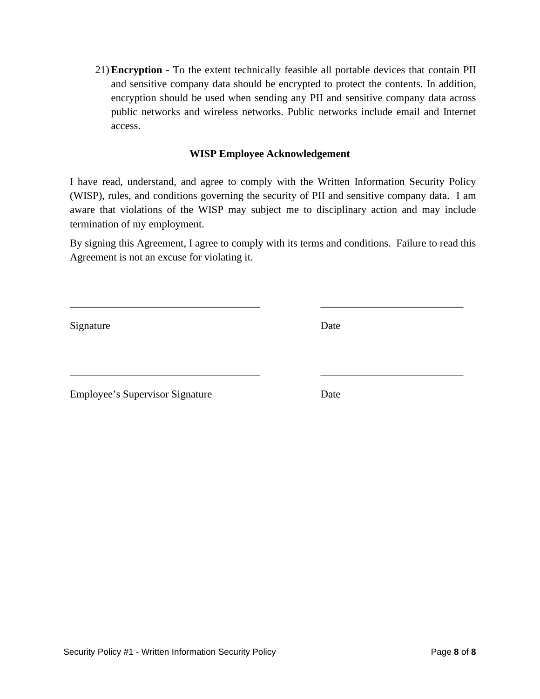21) **Encryption** - To the extent technically feasible all portable devices that contain PII and sensitive company data should be encrypted to protect the contents. In addition, encryption should be used when sending any PII and sensitive company data across public networks and wireless networks. Public networks include email and Internet access.

# **WISP Employee Acknowledgement**

I have read, understand, and agree to comply with the Written Information Security Policy (WISP), rules, and conditions governing the security of PII and sensitive company data. I am aware that violations of the WISP may subject me to disciplinary action and may include termination of my employment.

By signing this Agreement, I agree to comply with its terms and conditions. Failure to read this Agreement is not an excuse for violating it.

\_\_\_\_\_\_\_\_\_\_\_\_\_\_\_\_\_\_\_\_\_\_\_\_\_\_\_\_\_\_\_\_\_\_\_\_ \_\_\_\_\_\_\_\_\_\_\_\_\_\_\_\_\_\_\_\_\_\_\_\_\_\_\_

\_\_\_\_\_\_\_\_\_\_\_\_\_\_\_\_\_\_\_\_\_\_\_\_\_\_\_\_\_\_\_\_\_\_\_\_ \_\_\_\_\_\_\_\_\_\_\_\_\_\_\_\_\_\_\_\_\_\_\_\_\_\_\_

Signature Date

Employee's Supervisor Signature Date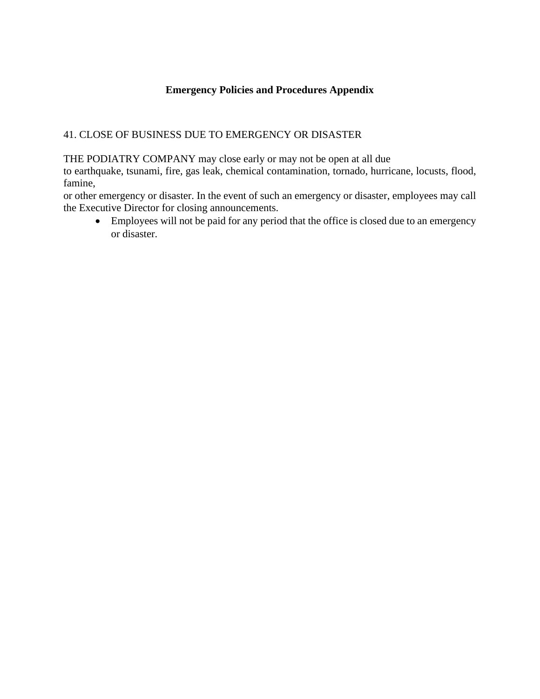# **Emergency Policies and Procedures Appendix**

# 41. CLOSE OF BUSINESS DUE TO EMERGENCY OR DISASTER

THE PODIATRY COMPANY may close early or may not be open at all due

to earthquake, tsunami, fire, gas leak, chemical contamination, tornado, hurricane, locusts, flood, famine,

or other emergency or disaster. In the event of such an emergency or disaster, employees may call the Executive Director for closing announcements.

• Employees will not be paid for any period that the office is closed due to an emergency or disaster.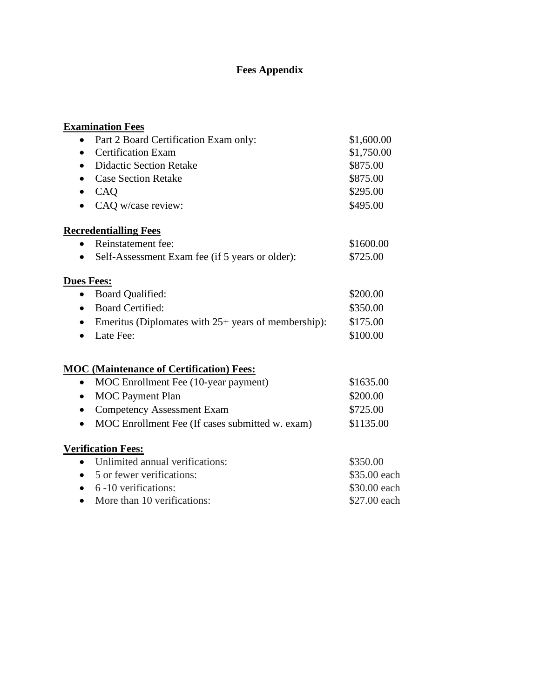# **Fees Appendix**

| <b>Examination Fees</b>                                            |              |
|--------------------------------------------------------------------|--------------|
| Part 2 Board Certification Exam only:                              | \$1,600.00   |
| <b>Certification Exam</b>                                          | \$1,750.00   |
| <b>Didactic Section Retake</b>                                     | \$875.00     |
| <b>Case Section Retake</b>                                         | \$875.00     |
| CAQ<br>$\bullet$                                                   | \$295.00     |
| CAQ w/case review:                                                 | \$495.00     |
| <b>Recredentialling Fees</b>                                       |              |
| Reinstatement fee:                                                 | \$1600.00    |
| Self-Assessment Exam fee (if 5 years or older):                    | \$725.00     |
| <b>Dues Fees:</b>                                                  |              |
| Board Qualified:                                                   | \$200.00     |
| <b>Board Certified:</b>                                            | \$350.00     |
| Emeritus (Diplomates with $25+$ years of membership):<br>$\bullet$ | \$175.00     |
| Late Fee:                                                          | \$100.00     |
| <b>MOC</b> (Maintenance of Certification) Fees:                    |              |
| MOC Enrollment Fee (10-year payment)<br>$\bullet$                  | \$1635.00    |
| <b>MOC</b> Payment Plan                                            | \$200.00     |
| <b>Competency Assessment Exam</b>                                  | \$725.00     |
| MOC Enrollment Fee (If cases submitted w. exam)<br>$\bullet$       | \$1135.00    |
| <b>Verification Fees:</b>                                          |              |
| Unlimited annual verifications:<br>$\bullet$                       | \$350.00     |
| 5 or fewer verifications:                                          | \$35.00 each |
| 6 -10 verifications:                                               | \$30.00 each |
| More than 10 verifications:<br>$\bullet$                           | \$27.00 each |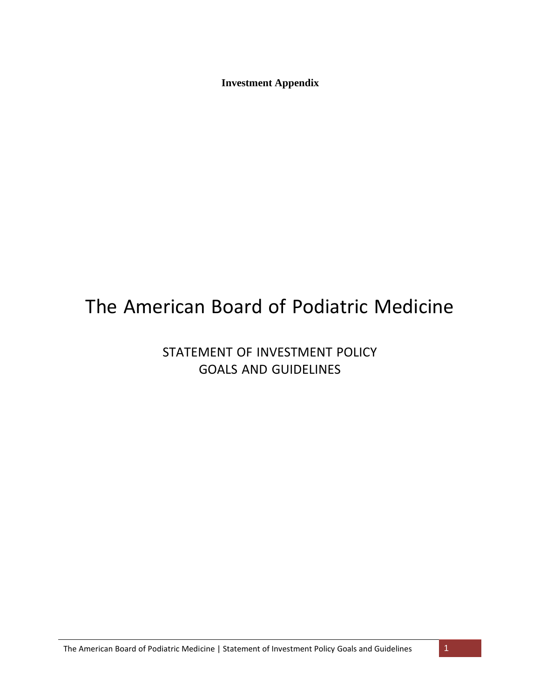**Investment Appendix**

# The American Board of Podiatric Medicine

STATEMENT OF INVESTMENT POLICY GOALS AND GUIDELINES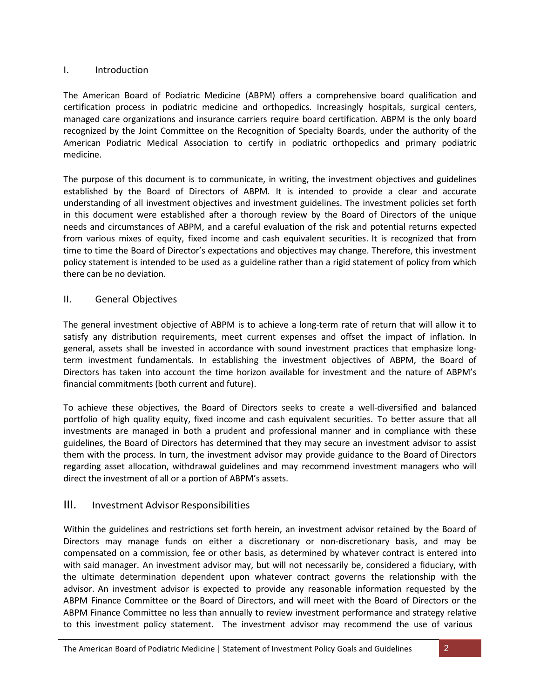# I. Introduction

The American Board of Podiatric Medicine (ABPM) offers a comprehensive board qualification and certification process in podiatric medicine and orthopedics. Increasingly hospitals, surgical centers, managed care organizations and insurance carriers require board certification. ABPM is the only board recognized by the Joint Committee on the Recognition of Specialty Boards, under the authority of the American Podiatric Medical Association to certify in podiatric orthopedics and primary podiatric medicine.

The purpose of this document is to communicate, in writing, the investment objectives and guidelines established by the Board of Directors of ABPM. It is intended to provide a clear and accurate understanding of all investment objectives and investment guidelines. The investment policies set forth in this document were established after a thorough review by the Board of Directors of the unique needs and circumstances of ABPM, and a careful evaluation of the risk and potential returns expected from various mixes of equity, fixed income and cash equivalent securities. It is recognized that from time to time the Board of Director's expectations and objectives may change. Therefore, this investment policy statement is intended to be used as a guideline rather than a rigid statement of policy from which there can be no deviation.

# II. General Objectives

The general investment objective of ABPM is to achieve a long-term rate of return that will allow it to satisfy any distribution requirements, meet current expenses and offset the impact of inflation. In general, assets shall be invested in accordance with sound investment practices that emphasize longterm investment fundamentals. In establishing the investment objectives of ABPM, the Board of Directors has taken into account the time horizon available for investment and the nature of ABPM's financial commitments (both current and future).

To achieve these objectives, the Board of Directors seeks to create a well-diversified and balanced portfolio of high quality equity, fixed income and cash equivalent securities. To better assure that all investments are managed in both a prudent and professional manner and in compliance with these guidelines, the Board of Directors has determined that they may secure an investment advisor to assist them with the process. In turn, the investment advisor may provide guidance to the Board of Directors regarding asset allocation, withdrawal guidelines and may recommend investment managers who will direct the investment of all or a portion of ABPM's assets.

# III. Investment Advisor Responsibilities

Within the guidelines and restrictions set forth herein, an investment advisor retained by the Board of Directors may manage funds on either a discretionary or non-discretionary basis, and may be compensated on a commission, fee or other basis, as determined by whatever contract is entered into with said manager. An investment advisor may, but will not necessarily be, considered a fiduciary, with the ultimate determination dependent upon whatever contract governs the relationship with the advisor. An investment advisor is expected to provide any reasonable information requested by the ABPM Finance Committee or the Board of Directors, and will meet with the Board of Directors or the ABPM Finance Committee no less than annually to review investment performance and strategy relative to this investment policy statement. The investment advisor may recommend the use of various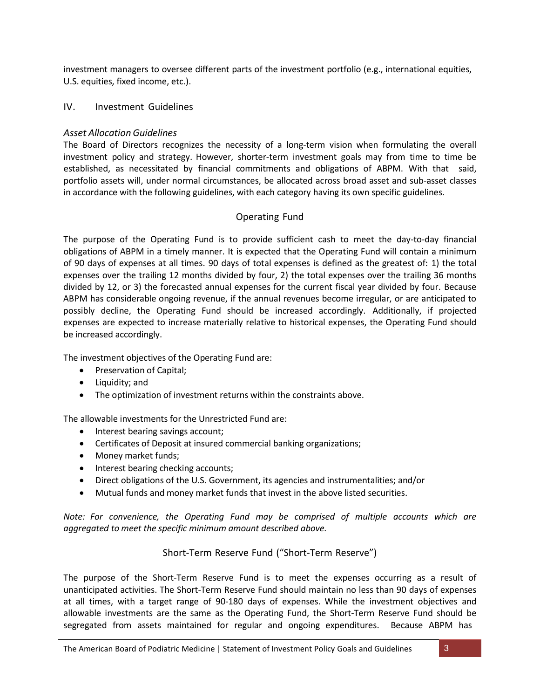investment managers to oversee different parts of the investment portfolio (e.g., international equities, U.S. equities, fixed income, etc.).

#### IV. Investment Guidelines

#### *Asset Allocation Guidelines*

The Board of Directors recognizes the necessity of a long-term vision when formulating the overall investment policy and strategy. However, shorter-term investment goals may from time to time be established, as necessitated by financial commitments and obligations of ABPM. With that said, portfolio assets will, under normal circumstances, be allocated across broad asset and sub-asset classes in accordance with the following guidelines, with each category having its own specific guidelines.

# Operating Fund

The purpose of the Operating Fund is to provide sufficient cash to meet the day-to-day financial obligations of ABPM in a timely manner. It is expected that the Operating Fund will contain a minimum of 90 days of expenses at all times. 90 days of total expenses is defined as the greatest of: 1) the total expenses over the trailing 12 months divided by four, 2) the total expenses over the trailing 36 months divided by 12, or 3) the forecasted annual expenses for the current fiscal year divided by four. Because ABPM has considerable ongoing revenue, if the annual revenues become irregular, or are anticipated to possibly decline, the Operating Fund should be increased accordingly. Additionally, if projected expenses are expected to increase materially relative to historical expenses, the Operating Fund should be increased accordingly.

The investment objectives of the Operating Fund are:

- Preservation of Capital;
- Liquidity; and
- The optimization of investment returns within the constraints above.

The allowable investments for the Unrestricted Fund are:

- Interest bearing savings account;
- Certificates of Deposit at insured commercial banking organizations;
- Money market funds;
- Interest bearing checking accounts;
- Direct obligations of the U.S. Government, its agencies and instrumentalities; and/or
- Mutual funds and money market funds that invest in the above listed securities.

*Note: For convenience, the Operating Fund may be comprised of multiple accounts which are aggregated to meet the specific minimum amount described above.*

# Short-Term Reserve Fund ("Short-Term Reserve")

The purpose of the Short-Term Reserve Fund is to meet the expenses occurring as a result of unanticipated activities. The Short-Term Reserve Fund should maintain no less than 90 days of expenses at all times, with a target range of 90-180 days of expenses. While the investment objectives and allowable investments are the same as the Operating Fund, the Short-Term Reserve Fund should be segregated from assets maintained for regular and ongoing expenditures. Because ABPM has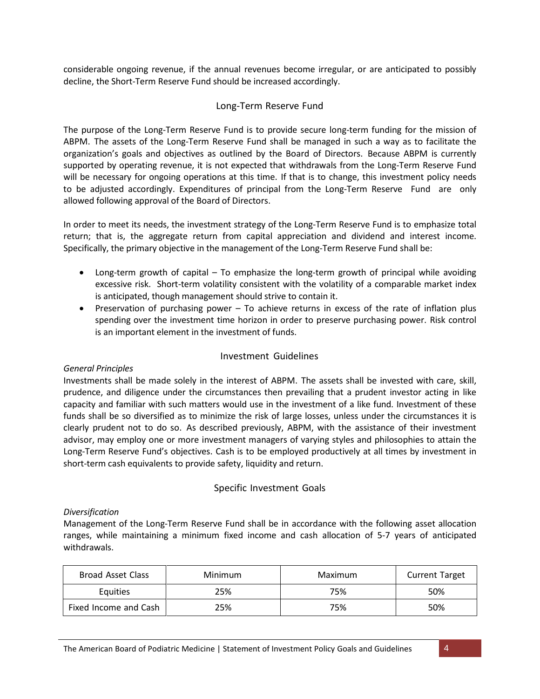considerable ongoing revenue, if the annual revenues become irregular, or are anticipated to possibly decline, the Short-Term Reserve Fund should be increased accordingly.

#### Long-Term Reserve Fund

The purpose of the Long-Term Reserve Fund is to provide secure long-term funding for the mission of ABPM. The assets of the Long-Term Reserve Fund shall be managed in such a way as to facilitate the organization's goals and objectives as outlined by the Board of Directors. Because ABPM is currently supported by operating revenue, it is not expected that withdrawals from the Long-Term Reserve Fund will be necessary for ongoing operations at this time. If that is to change, this investment policy needs to be adjusted accordingly. Expenditures of principal from the Long-Term Reserve Fund are only allowed following approval of the Board of Directors.

In order to meet its needs, the investment strategy of the Long-Term Reserve Fund is to emphasize total return; that is, the aggregate return from capital appreciation and dividend and interest income. Specifically, the primary objective in the management of the Long-Term Reserve Fund shall be:

- Long-term growth of capital To emphasize the long-term growth of principal while avoiding excessive risk. Short-term volatility consistent with the volatility of a comparable market index is anticipated, though management should strive to contain it.
- Preservation of purchasing power To achieve returns in excess of the rate of inflation plus spending over the investment time horizon in order to preserve purchasing power. Risk control is an important element in the investment of funds.

# Investment Guidelines

#### *General Principles*

Investments shall be made solely in the interest of ABPM. The assets shall be invested with care, skill, prudence, and diligence under the circumstances then prevailing that a prudent investor acting in like capacity and familiar with such matters would use in the investment of a like fund. Investment of these funds shall be so diversified as to minimize the risk of large losses, unless under the circumstances it is clearly prudent not to do so. As described previously, ABPM, with the assistance of their investment advisor, may employ one or more investment managers of varying styles and philosophies to attain the Long-Term Reserve Fund's objectives. Cash is to be employed productively at all times by investment in short-term cash equivalents to provide safety, liquidity and return.

#### Specific Investment Goals

#### *Diversification*

Management of the Long-Term Reserve Fund shall be in accordance with the following asset allocation ranges, while maintaining a minimum fixed income and cash allocation of 5-7 years of anticipated withdrawals.

| Broad Asset Class     | Minimum | Maximum | <b>Current Target</b> |
|-----------------------|---------|---------|-----------------------|
| <b>Equities</b>       | 25%     | 75%     | 50%                   |
| Fixed Income and Cash | 25%     | 75%     | 50%                   |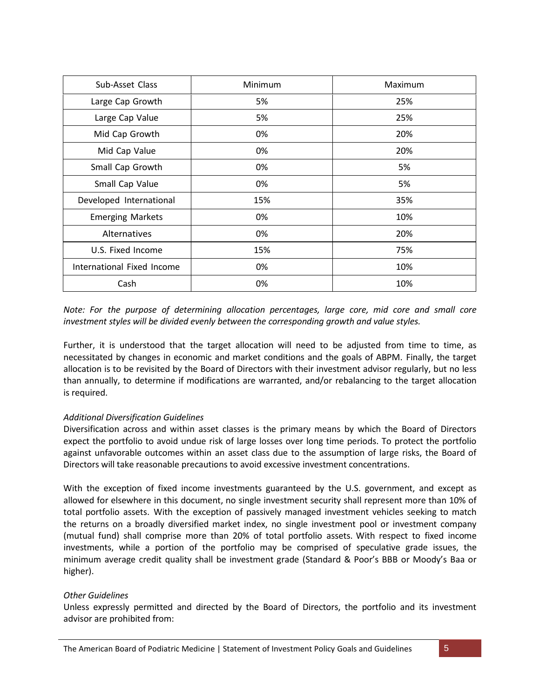| Sub-Asset Class            | <b>Minimum</b> | Maximum |
|----------------------------|----------------|---------|
| Large Cap Growth           | 5%             | 25%     |
| Large Cap Value            | 5%             | 25%     |
| Mid Cap Growth             | 0%             | 20%     |
| Mid Cap Value              | 0%             | 20%     |
| Small Cap Growth           | 0%             | 5%      |
| Small Cap Value            | 0%             | 5%      |
| Developed International    | 15%            | 35%     |
| <b>Emerging Markets</b>    | 0%             | 10%     |
| Alternatives               | 0%             | 20%     |
| U.S. Fixed Income          | 15%            | 75%     |
| International Fixed Income | 0%             | 10%     |
| Cash                       | 0%             | 10%     |

*Note: For the purpose of determining allocation percentages, large core, mid core and small core investment styles will be divided evenly between the corresponding growth and value styles.*

Further, it is understood that the target allocation will need to be adjusted from time to time, as necessitated by changes in economic and market conditions and the goals of ABPM. Finally, the target allocation is to be revisited by the Board of Directors with their investment advisor regularly, but no less than annually, to determine if modifications are warranted, and/or rebalancing to the target allocation is required.

# *Additional Diversification Guidelines*

Diversification across and within asset classes is the primary means by which the Board of Directors expect the portfolio to avoid undue risk of large losses over long time periods. To protect the portfolio against unfavorable outcomes within an asset class due to the assumption of large risks, the Board of Directors will take reasonable precautions to avoid excessive investment concentrations.

With the exception of fixed income investments guaranteed by the U.S. government, and except as allowed for elsewhere in this document, no single investment security shall represent more than 10% of total portfolio assets. With the exception of passively managed investment vehicles seeking to match the returns on a broadly diversified market index, no single investment pool or investment company (mutual fund) shall comprise more than 20% of total portfolio assets. With respect to fixed income investments, while a portion of the portfolio may be comprised of speculative grade issues, the minimum average credit quality shall be investment grade (Standard & Poor's BBB or Moody's Baa or higher).

#### *Other Guidelines*

Unless expressly permitted and directed by the Board of Directors, the portfolio and its investment advisor are prohibited from: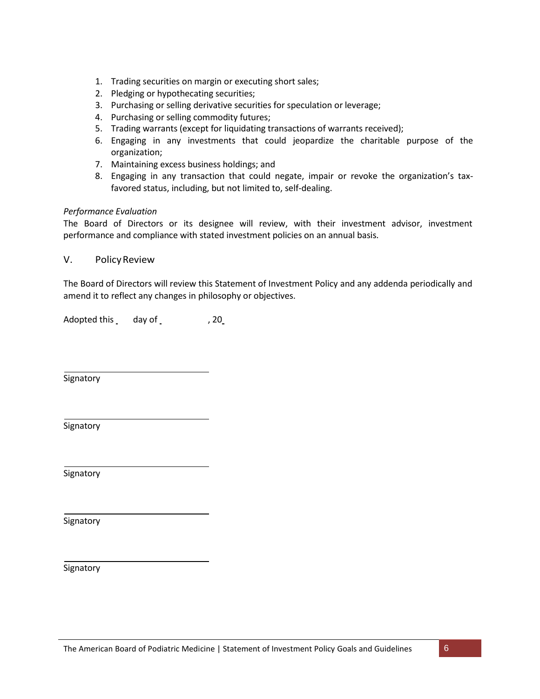- 1. Trading securities on margin or executing short sales;
- 2. Pledging or hypothecating securities;
- 3. Purchasing or selling derivative securities for speculation or leverage;
- 4. Purchasing or selling commodity futures;
- 5. Trading warrants (except for liquidating transactions of warrants received);
- 6. Engaging in any investments that could jeopardize the charitable purpose of the organization;
- 7. Maintaining excess business holdings; and
- 8. Engaging in any transaction that could negate, impair or revoke the organization's taxfavored status, including, but not limited to, self-dealing.

#### *Performance Evaluation*

The Board of Directors or its designee will review, with their investment advisor, investment performance and compliance with stated investment policies on an annual basis.

#### V. PolicyReview

The Board of Directors will review this Statement of Investment Policy and any addenda periodically and amend it to reflect any changes in philosophy or objectives.

Adopted this day of 30 and 320

**Signatory** 

Signatory

Signatory

**Signatory** 

**Signatory**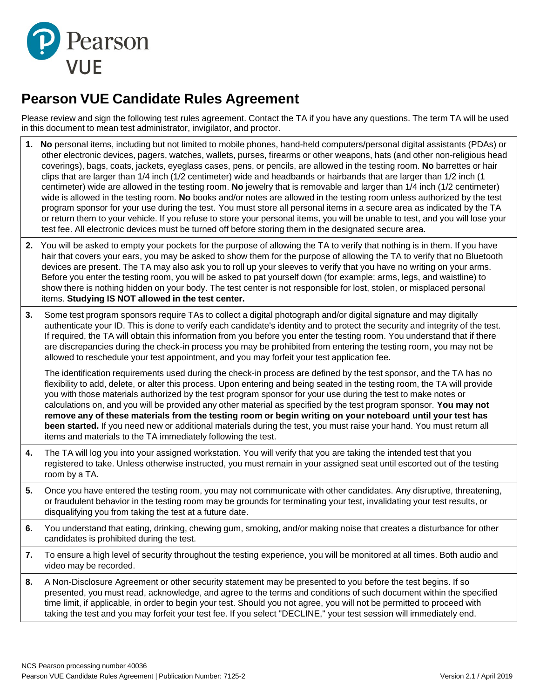

# **Pearson VUE Candidate Rules Agreement**

Please review and sign the following test rules agreement. Contact the TA if you have any questions. The term TA will be used in this document to mean test administrator, invigilator, and proctor.

- **1. No** personal items, including but not limited to mobile phones, hand-held computers/personal digital assistants (PDAs) or other electronic devices, pagers, watches, wallets, purses, firearms or other weapons, hats (and other non-religious head coverings), bags, coats, jackets, eyeglass cases, pens, or pencils, are allowed in the testing room. **No** barrettes or hair clips that are larger than 1/4 inch (1/2 centimeter) wide and headbands or hairbands that are larger than 1/2 inch (1 centimeter) wide are allowed in the testing room. **No** jewelry that is removable and larger than 1/4 inch (1/2 centimeter) wide is allowed in the testing room. **No** books and/or notes are allowed in the testing room unless authorized by the test program sponsor for your use during the test. You must store all personal items in a secure area as indicated by the TA or return them to your vehicle. If you refuse to store your personal items, you will be unable to test, and you will lose your test fee. All electronic devices must be turned off before storing them in the designated secure area.
- **2.** You will be asked to empty your pockets for the purpose of allowing the TA to verify that nothing is in them. If you have hair that covers your ears, you may be asked to show them for the purpose of allowing the TA to verify that no Bluetooth devices are present. The TA may also ask you to roll up your sleeves to verify that you have no writing on your arms. Before you enter the testing room, you will be asked to pat yourself down (for example: arms, legs, and waistline) to show there is nothing hidden on your body. The test center is not responsible for lost, stolen, or misplaced personal items. **Studying IS NOT allowed in the test center.**
- **3.** Some test program sponsors require TAs to collect a digital photograph and/or digital signature and may digitally authenticate your ID. This is done to verify each candidate's identity and to protect the security and integrity of the test. If required, the TA will obtain this information from you before you enter the testing room. You understand that if there are discrepancies during the check-in process you may be prohibited from entering the testing room, you may not be allowed to reschedule your test appointment, and you may forfeit your test application fee.

The identification requirements used during the check-in process are defined by the test sponsor, and the TA has no flexibility to add, delete, or alter this process. Upon entering and being seated in the testing room, the TA will provide you with those materials authorized by the test program sponsor for your use during the test to make notes or calculations on, and you will be provided any other material as specified by the test program sponsor. **You may not** remove any of these materials from the testing room or begin writing on your noteboard until your test has **been started.** If you need new or additional materials during the test, you must raise your hand. You must return all items and materials to the TA immediately following the test.

- **4.** The TA will log you into your assigned workstation. You will verify that you are taking the intended test that you registered to take. Unless otherwise instructed, you must remain in your assigned seat until escorted out of the testing room by a TA.
- **5.** Once you have entered the testing room, you may not communicate with other candidates. Any disruptive, threatening, or fraudulent behavior in the testing room may be grounds for terminating your test, invalidating your test results, or disqualifying you from taking the test at a future date.
- **6.** You understand that eating, drinking, chewing gum, smoking, and/or making noise that creates a disturbance for other candidates is prohibited during the test.
- **7.** To ensure a high level of security throughout the testing experience, you will be monitored at all times. Both audio and video may be recorded.
- **8.** A Non-Disclosure Agreement or other security statement may be presented to you before the test begins. If so presented, you must read, acknowledge, and agree to the terms and conditions of such document within the specified time limit, if applicable, in order to begin your test. Should you not agree, you will not be permitted to proceed with taking the test and you may forfeit your test fee. If you select "DECLINE," your test session will immediately end.